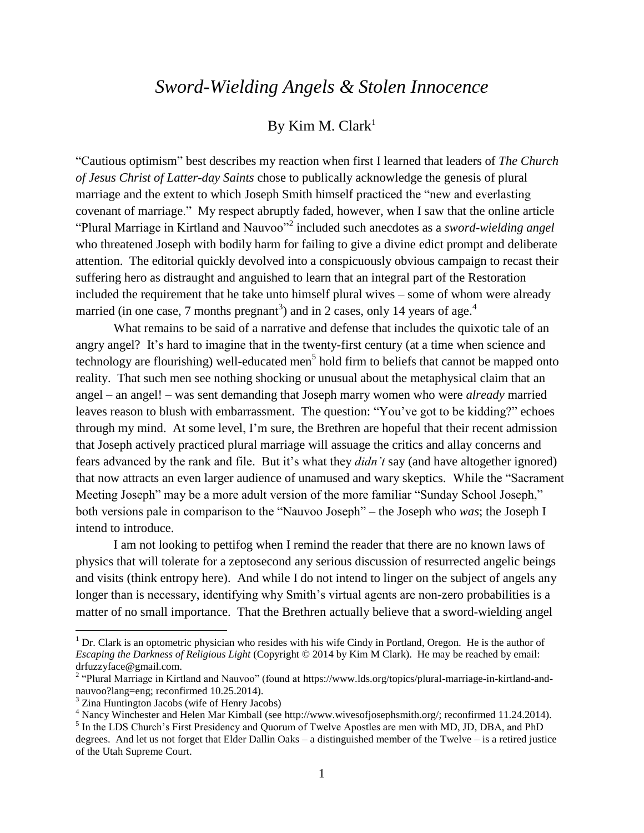# *Sword-Wielding Angels & Stolen Innocence*

# By Kim M. Clark<sup>1</sup>

"Cautious optimism" best describes my reaction when first I learned that leaders of *The Church of Jesus Christ of Latter-day Saints* chose to publically acknowledge the genesis of plural marriage and the extent to which Joseph Smith himself practiced the "new and everlasting covenant of marriage." My respect abruptly faded, however, when I saw that the online article "Plural Marriage in Kirtland and Nauvoo"<sup>2</sup> included such anecdotes as a *sword-wielding angel* who threatened Joseph with bodily harm for failing to give a divine edict prompt and deliberate attention. The editorial quickly devolved into a conspicuously obvious campaign to recast their suffering hero as distraught and anguished to learn that an integral part of the Restoration included the requirement that he take unto himself plural wives – some of whom were already married (in one case, 7 months pregnant<sup>3</sup>) and in 2 cases, only 14 years of age.<sup>4</sup>

What remains to be said of a narrative and defense that includes the quixotic tale of an angry angel? It's hard to imagine that in the twenty-first century (at a time when science and technology are flourishing) well-educated men<sup>5</sup> hold firm to beliefs that cannot be mapped onto reality. That such men see nothing shocking or unusual about the metaphysical claim that an angel – an angel! – was sent demanding that Joseph marry women who were *already* married leaves reason to blush with embarrassment. The question: "You've got to be kidding?" echoes through my mind. At some level, I'm sure, the Brethren are hopeful that their recent admission that Joseph actively practiced plural marriage will assuage the critics and allay concerns and fears advanced by the rank and file. But it's what they *didn't* say (and have altogether ignored) that now attracts an even larger audience of unamused and wary skeptics. While the "Sacrament Meeting Joseph" may be a more adult version of the more familiar "Sunday School Joseph," both versions pale in comparison to the "Nauvoo Joseph" – the Joseph who *was*; the Joseph I intend to introduce.

I am not looking to pettifog when I remind the reader that there are no known laws of physics that will tolerate for a zeptosecond any serious discussion of resurrected angelic beings and visits (think entropy here). And while I do not intend to linger on the subject of angels any longer than is necessary, identifying why Smith's virtual agents are non-zero probabilities is a matter of no small importance. That the Brethren actually believe that a sword-wielding angel

 $1$  Dr. Clark is an optometric physician who resides with his wife Cindy in Portland, Oregon. He is the author of *Escaping the Darkness of Religious Light* (Copyright © 2014 by Kim M Clark). He may be reached by email: drfuzzyface@gmail.com.

<sup>&</sup>lt;sup>2</sup> "Plural Marriage in Kirtland and Nauvoo" (found at https://www.lds.org/topics/plural-marriage-in-kirtland-andnauvoo?lang=eng; reconfirmed 10.25.2014).

<sup>&</sup>lt;sup>3</sup> Zina Huntington Jacobs (wife of Henry Jacobs)

<sup>4</sup> Nancy Winchester and Helen Mar Kimball (see http://www.wivesofjosephsmith.org/; reconfirmed 11.24.2014).

<sup>&</sup>lt;sup>5</sup> In the LDS Church's First Presidency and Quorum of Twelve Apostles are men with MD, JD, DBA, and PhD degrees. And let us not forget that Elder Dallin Oaks – a distinguished member of the Twelve – is a retired justice of the Utah Supreme Court.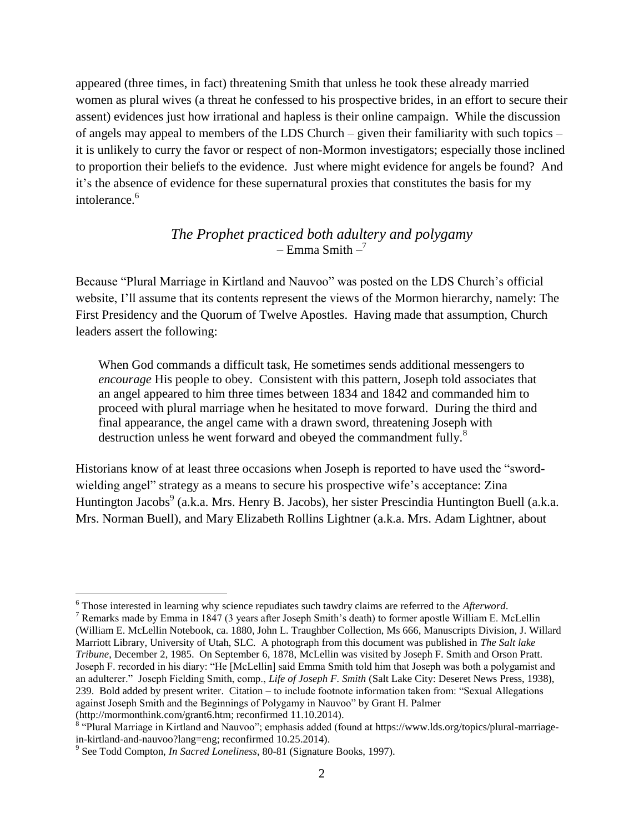appeared (three times, in fact) threatening Smith that unless he took these already married women as plural wives (a threat he confessed to his prospective brides, in an effort to secure their assent) evidences just how irrational and hapless is their online campaign. While the discussion of angels may appeal to members of the LDS Church – given their familiarity with such topics – it is unlikely to curry the favor or respect of non-Mormon investigators; especially those inclined to proportion their beliefs to the evidence. Just where might evidence for angels be found? And it's the absence of evidence for these supernatural proxies that constitutes the basis for my intolerance.<sup>6</sup>

## *The Prophet practiced both adultery and polygamy*  $-$  Emma Smith  $-$ <sup>7</sup>

Because "Plural Marriage in Kirtland and Nauvoo" was posted on the LDS Church's official website, I'll assume that its contents represent the views of the Mormon hierarchy, namely: The First Presidency and the Quorum of Twelve Apostles. Having made that assumption, Church leaders assert the following:

When God commands a difficult task, He sometimes sends additional messengers to *encourage* His people to obey. Consistent with this pattern, Joseph told associates that an angel appeared to him three times between 1834 and 1842 and commanded him to proceed with plural marriage when he hesitated to move forward. During the third and final appearance, the angel came with a drawn sword, threatening Joseph with destruction unless he went forward and obeyed the commandment fully.<sup>8</sup>

Historians know of at least three occasions when Joseph is reported to have used the "swordwielding angel" strategy as a means to secure his prospective wife's acceptance: Zina Huntington Jacobs<sup>9</sup> (a.k.a. Mrs. Henry B. Jacobs), her sister Prescindia Huntington Buell (a.k.a. Mrs. Norman Buell), and Mary Elizabeth Rollins Lightner (a.k.a. Mrs. Adam Lightner, about

<sup>7</sup> Remarks made by Emma in 1847 (3 years after Joseph Smith's death) to former apostle William E. McLellin (William E. McLellin Notebook, ca. 1880, John L. Traughber Collection, Ms 666, Manuscripts Division, J. Willard Marriott Library, University of Utah, SLC. A photograph from this document was published in *The Salt lake Tribune*, December 2, 1985. On September 6, 1878, McLellin was visited by Joseph F. Smith and Orson Pratt. Joseph F. recorded in his diary: "He [McLellin] said Emma Smith told him that Joseph was both a polygamist and an adulterer." Joseph Fielding Smith, comp., *Life of Joseph F. Smith* (Salt Lake City: Deseret News Press, 1938), 239. Bold added by present writer. Citation – to include footnote information taken from: "Sexual Allegations against Joseph Smith and the Beginnings of Polygamy in Nauvoo" by Grant H. Palmer (http://mormonthink.com/grant6.htm; reconfirmed 11.10.2014).

<sup>6</sup> Those interested in learning why science repudiates such tawdry claims are referred to the *Afterword*.

<sup>&</sup>lt;sup>8</sup> "Plural Marriage in Kirtland and Nauvoo"; emphasis added (found at https://www.lds.org/topics/plural-marriagein-kirtland-and-nauvoo?lang=eng; reconfirmed 10.25.2014).

<sup>9</sup> See Todd Compton, *In Sacred Loneliness*, 80-81 (Signature Books, 1997).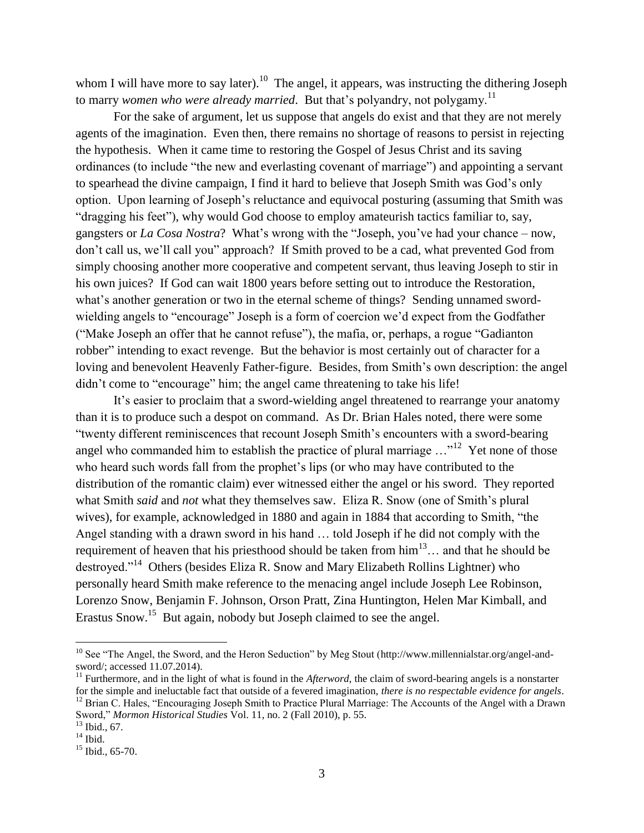whom I will have more to say later).<sup>10</sup> The angel, it appears, was instructing the dithering Joseph to marry *women who were already married*. But that's polyandry, not polygamy.<sup>11</sup>

For the sake of argument, let us suppose that angels do exist and that they are not merely agents of the imagination. Even then, there remains no shortage of reasons to persist in rejecting the hypothesis. When it came time to restoring the Gospel of Jesus Christ and its saving ordinances (to include "the new and everlasting covenant of marriage") and appointing a servant to spearhead the divine campaign, I find it hard to believe that Joseph Smith was God's only option. Upon learning of Joseph's reluctance and equivocal posturing (assuming that Smith was "dragging his feet"), why would God choose to employ amateurish tactics familiar to, say, gangsters or *La Cosa Nostra*? What's wrong with the "Joseph, you've had your chance – now, don't call us, we'll call you" approach? If Smith proved to be a cad, what prevented God from simply choosing another more cooperative and competent servant, thus leaving Joseph to stir in his own juices? If God can wait 1800 years before setting out to introduce the Restoration, what's another generation or two in the eternal scheme of things? Sending unnamed swordwielding angels to "encourage" Joseph is a form of coercion we'd expect from the Godfather ("Make Joseph an offer that he cannot refuse"), the mafia, or, perhaps, a rogue "Gadianton robber" intending to exact revenge. But the behavior is most certainly out of character for a loving and benevolent Heavenly Father-figure. Besides, from Smith's own description: the angel didn't come to "encourage" him; the angel came threatening to take his life!

It's easier to proclaim that a sword-wielding angel threatened to rearrange your anatomy than it is to produce such a despot on command. As Dr. Brian Hales noted, there were some "twenty different reminiscences that recount Joseph Smith's encounters with a sword-bearing angel who commanded him to establish the practice of plural marriage  $\ldots$ <sup>12</sup> Yet none of those who heard such words fall from the prophet's lips (or who may have contributed to the distribution of the romantic claim) ever witnessed either the angel or his sword. They reported what Smith *said* and *not* what they themselves saw. Eliza R. Snow (one of Smith's plural wives), for example, acknowledged in 1880 and again in 1884 that according to Smith, "the Angel standing with a drawn sword in his hand … told Joseph if he did not comply with the requirement of heaven that his priesthood should be taken from  $\lim^{13}$ ... and that he should be destroyed."<sup>14</sup> Others (besides Eliza R. Snow and Mary Elizabeth Rollins Lightner) who personally heard Smith make reference to the menacing angel include Joseph Lee Robinson, Lorenzo Snow, Benjamin F. Johnson, Orson Pratt, Zina Huntington, Helen Mar Kimball, and Erastus Snow.<sup>15</sup> But again, nobody but Joseph claimed to see the angel.

<sup>&</sup>lt;sup>10</sup> See "The Angel, the Sword, and the Heron Seduction" by Meg Stout (http://www.millennialstar.org/angel-andsword/; accessed 11.07.2014).

<sup>&</sup>lt;sup>11</sup> Furthermore, and in the light of what is found in the *Afterword*, the claim of sword-bearing angels is a nonstarter for the simple and ineluctable fact that outside of a fevered imagination, *there is no respectable evidence for angels*. <sup>12</sup> Brian C. Hales, "Encouraging Joseph Smith to Practice Plural Marriage: The Accounts of the Angel with a Drawn

Sword," *Mormon Historical Studies* Vol. 11, no. 2 (Fall 2010), p. 55.

 $13$  Ibid., 67.  $14$  Ibid.

 $15$  Ibid., 65-70.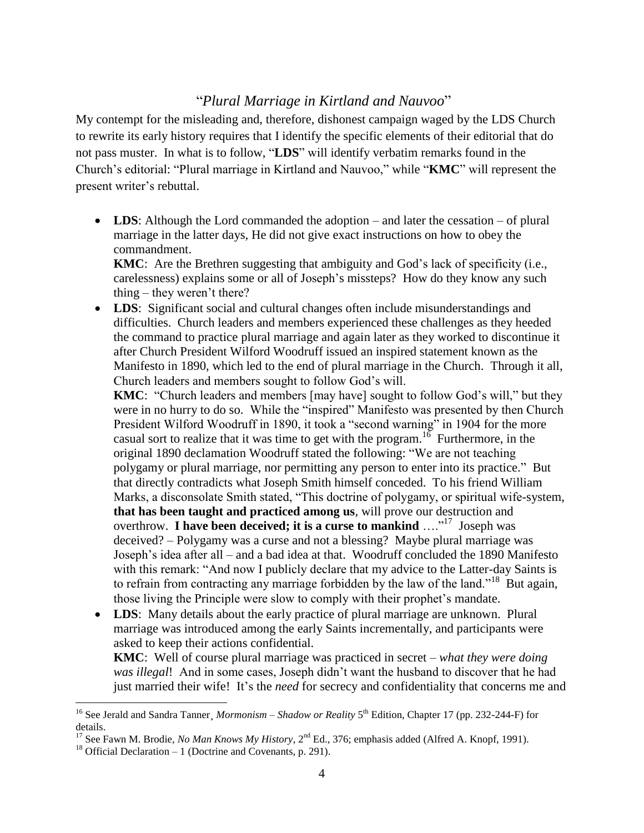# "*Plural Marriage in Kirtland and Nauvoo*"

My contempt for the misleading and, therefore, dishonest campaign waged by the LDS Church to rewrite its early history requires that I identify the specific elements of their editorial that do not pass muster. In what is to follow, "**LDS**" will identify verbatim remarks found in the Church's editorial: "Plural marriage in Kirtland and Nauvoo," while "**KMC**" will represent the present writer's rebuttal.

 **LDS**: Although the Lord commanded the adoption – and later the cessation – of plural marriage in the latter days, He did not give exact instructions on how to obey the commandment.

**KMC**: Are the Brethren suggesting that ambiguity and God's lack of specificity (i.e., carelessness) explains some or all of Joseph's missteps? How do they know any such thing – they weren't there?

 **LDS**: Significant social and cultural changes often include misunderstandings and difficulties. Church leaders and members experienced these challenges as they heeded the command to practice plural marriage and again later as they worked to discontinue it after Church President Wilford Woodruff issued an inspired statement known as the Manifesto in 1890, which led to the end of plural marriage in the Church. Through it all, Church leaders and members sought to follow God's will.

**KMC**: "Church leaders and members [may have] sought to follow God's will," but they were in no hurry to do so. While the "inspired" Manifesto was presented by then Church President Wilford Woodruff in 1890, it took a "second warning" in 1904 for the more casual sort to realize that it was time to get with the program.<sup>16</sup> Furthermore, in the original 1890 declamation Woodruff stated the following: "We are not teaching polygamy or plural marriage, nor permitting any person to enter into its practice." But that directly contradicts what Joseph Smith himself conceded. To his friend William Marks, a disconsolate Smith stated, "This doctrine of polygamy, or spiritual wife-system, **that has been taught and practiced among us**, will prove our destruction and overthrow. **I have been deceived; it is a curse to mankind** …."<sup>17</sup> Joseph was deceived? – Polygamy was a curse and not a blessing? Maybe plural marriage was Joseph's idea after all – and a bad idea at that. Woodruff concluded the 1890 Manifesto with this remark: "And now I publicly declare that my advice to the Latter-day Saints is to refrain from contracting any marriage forbidden by the law of the land."<sup>18</sup> But again, those living the Principle were slow to comply with their prophet's mandate.

 **LDS**: Many details about the early practice of plural marriage are unknown. Plural marriage was introduced among the early Saints incrementally, and participants were asked to keep their actions confidential.

**KMC**: Well of course plural marriage was practiced in secret – *what they were doing was illegal*! And in some cases, Joseph didn't want the husband to discover that he had just married their wife! It's the *need* for secrecy and confidentiality that concerns me and

<sup>&</sup>lt;sup>16</sup> See Jerald and Sandra Tanner, *Mormonism – Shadow or Reality* 5<sup>th</sup> Edition, Chapter 17 (pp. 232-244-F) for details.

<sup>&</sup>lt;sup>17</sup> See Fawn M. Brodie, *No Man Knows My History*, 2<sup>nd</sup> Ed., 376; emphasis added (Alfred A. Knopf, 1991).

<sup>&</sup>lt;sup>18</sup> Official Declaration – 1 (Doctrine and Covenants, p. 291).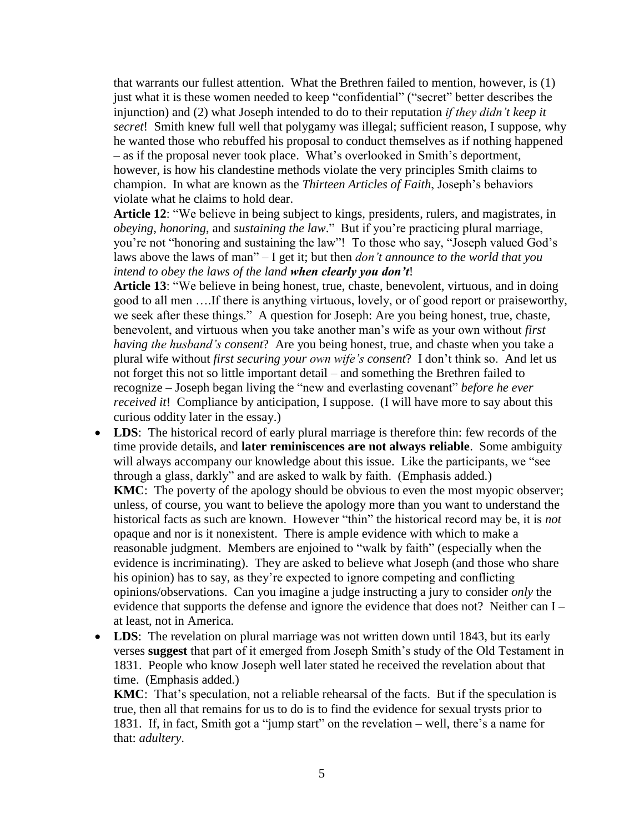that warrants our fullest attention. What the Brethren failed to mention, however, is (1) just what it is these women needed to keep "confidential" ("secret" better describes the injunction) and (2) what Joseph intended to do to their reputation *if they didn't keep it secret*! Smith knew full well that polygamy was illegal; sufficient reason, I suppose, why he wanted those who rebuffed his proposal to conduct themselves as if nothing happened – as if the proposal never took place. What's overlooked in Smith's deportment, however, is how his clandestine methods violate the very principles Smith claims to champion. In what are known as the *Thirteen Articles of Faith*, Joseph's behaviors violate what he claims to hold dear.

**Article 12**: "We believe in being subject to kings, presidents, rulers, and magistrates, in *obeying*, *honoring*, and *sustaining the law*." But if you're practicing plural marriage, you're not "honoring and sustaining the law"! To those who say, "Joseph valued God's laws above the laws of man" – I get it; but then *don't announce to the world that you intend to obey the laws of the land when clearly you don't*!

**Article 13**: "We believe in being honest, true, chaste, benevolent, virtuous, and in doing good to all men ….If there is anything virtuous, lovely, or of good report or praiseworthy, we seek after these things." A question for Joseph: Are you being honest, true, chaste, benevolent, and virtuous when you take another man's wife as your own without *first having the husband's consent*? Are you being honest, true, and chaste when you take a plural wife without *first securing your own wife's consent*? I don't think so. And let us not forget this not so little important detail – and something the Brethren failed to recognize – Joseph began living the "new and everlasting covenant" *before he ever received it*! Compliance by anticipation, I suppose. (I will have more to say about this curious oddity later in the essay.)

- LDS: The historical record of early plural marriage is therefore thin: few records of the time provide details, and **later reminiscences are not always reliable**. Some ambiguity will always accompany our knowledge about this issue. Like the participants, we "see through a glass, darkly" and are asked to walk by faith. (Emphasis added.) **KMC**: The poverty of the apology should be obvious to even the most myopic observer; unless, of course, you want to believe the apology more than you want to understand the historical facts as such are known. However "thin" the historical record may be, it is *not* opaque and nor is it nonexistent. There is ample evidence with which to make a reasonable judgment. Members are enjoined to "walk by faith" (especially when the evidence is incriminating). They are asked to believe what Joseph (and those who share his opinion) has to say, as they're expected to ignore competing and conflicting opinions/observations. Can you imagine a judge instructing a jury to consider *only* the evidence that supports the defense and ignore the evidence that does not? Neither can I – at least, not in America.
- LDS: The revelation on plural marriage was not written down until 1843, but its early verses **suggest** that part of it emerged from Joseph Smith's study of the Old Testament in 1831. People who know Joseph well later stated he received the revelation about that time. (Emphasis added.)

**KMC**: That's speculation, not a reliable rehearsal of the facts. But if the speculation is true, then all that remains for us to do is to find the evidence for sexual trysts prior to 1831. If, in fact, Smith got a "jump start" on the revelation – well, there's a name for that: *adultery*.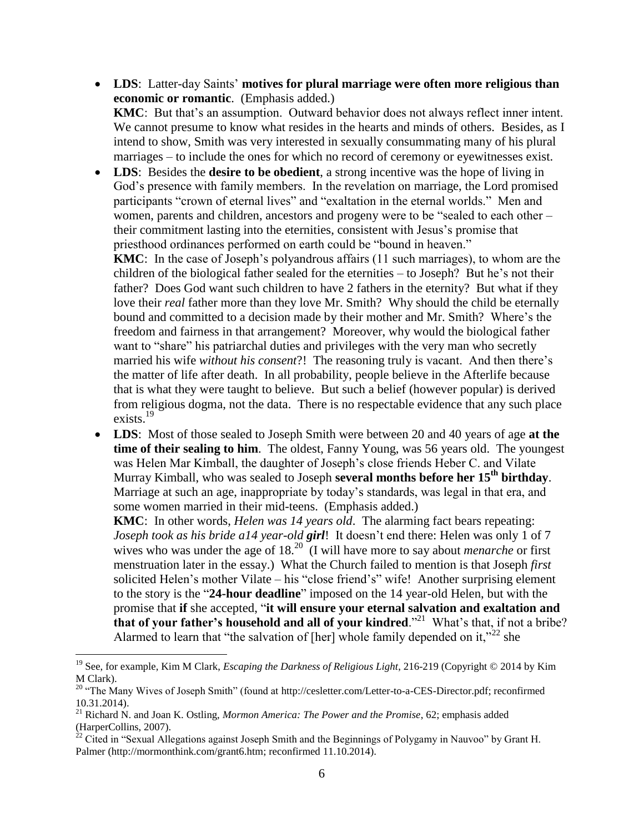- **LDS**: Latter-day Saints' **motives for plural marriage were often more religious than economic or romantic**. (Emphasis added.) **KMC**: But that's an assumption. Outward behavior does not always reflect inner intent. We cannot presume to know what resides in the hearts and minds of others. Besides, as I intend to show, Smith was very interested in sexually consummating many of his plural marriages – to include the ones for which no record of ceremony or eyewitnesses exist.
- **LDS**: Besides the **desire to be obedient**, a strong incentive was the hope of living in God's presence with family members. In the revelation on marriage, the Lord promised participants "crown of eternal lives" and "exaltation in the eternal worlds." Men and women, parents and children, ancestors and progeny were to be "sealed to each other – their commitment lasting into the eternities, consistent with Jesus's promise that priesthood ordinances performed on earth could be "bound in heaven."

**KMC**: In the case of Joseph's polyandrous affairs (11 such marriages), to whom are the children of the biological father sealed for the eternities – to Joseph? But he's not their father? Does God want such children to have 2 fathers in the eternity? But what if they love their *real* father more than they love Mr. Smith? Why should the child be eternally bound and committed to a decision made by their mother and Mr. Smith? Where's the freedom and fairness in that arrangement? Moreover, why would the biological father want to "share" his patriarchal duties and privileges with the very man who secretly married his wife *without his consent*?! The reasoning truly is vacant. And then there's the matter of life after death. In all probability, people believe in the Afterlife because that is what they were taught to believe. But such a belief (however popular) is derived from religious dogma, not the data. There is no respectable evidence that any such place exists. 19

 **LDS**: Most of those sealed to Joseph Smith were between 20 and 40 years of age **at the time of their sealing to him**. The oldest, Fanny Young, was 56 years old. The youngest was Helen Mar Kimball, the daughter of Joseph's close friends Heber C. and Vilate Murray Kimball, who was sealed to Joseph **several months before her 15th birthday**. Marriage at such an age, inappropriate by today's standards, was legal in that era, and some women married in their mid-teens. (Emphasis added.)

**KMC**: In other words, *Helen was 14 years old*. The alarming fact bears repeating: *Joseph took as his bride a14 year-old girl!* It doesn't end there: Helen was only 1 of 7 wives who was under the age of 18<sup>20</sup> (I will have more to say about *menarche* or first menstruation later in the essay.) What the Church failed to mention is that Joseph *first* solicited Helen's mother Vilate – his "close friend's" wife! Another surprising element to the story is the "**24-hour deadline**" imposed on the 14 year-old Helen, but with the promise that **if** she accepted, "**it will ensure your eternal salvation and exaltation and that of your father's household and all of your kindred.**"<sup>21</sup> What's that, if not a bribe? Alarmed to learn that "the salvation of [her] whole family depended on it," $^{22}$  she

<sup>19</sup> See, for example, Kim M Clark, *Escaping the Darkness of Religious Light*, 216-219 (Copyright © 2014 by Kim M Clark).

<sup>&</sup>lt;sup>20</sup> "The Many Wives of Joseph Smith" (found at http://cesletter.com/Letter-to-a-CES-Director.pdf; reconfirmed 10.31.2014).

<sup>21</sup> Richard N. and Joan K. Ostling, *Mormon America: The Power and the Promise*, 62; emphasis added (HarperCollins, 2007).

 $^{22}$  Cited in "Sexual Allegations against Joseph Smith and the Beginnings of Polygamy in Nauvoo" by Grant H. Palmer (http://mormonthink.com/grant6.htm; reconfirmed 11.10.2014).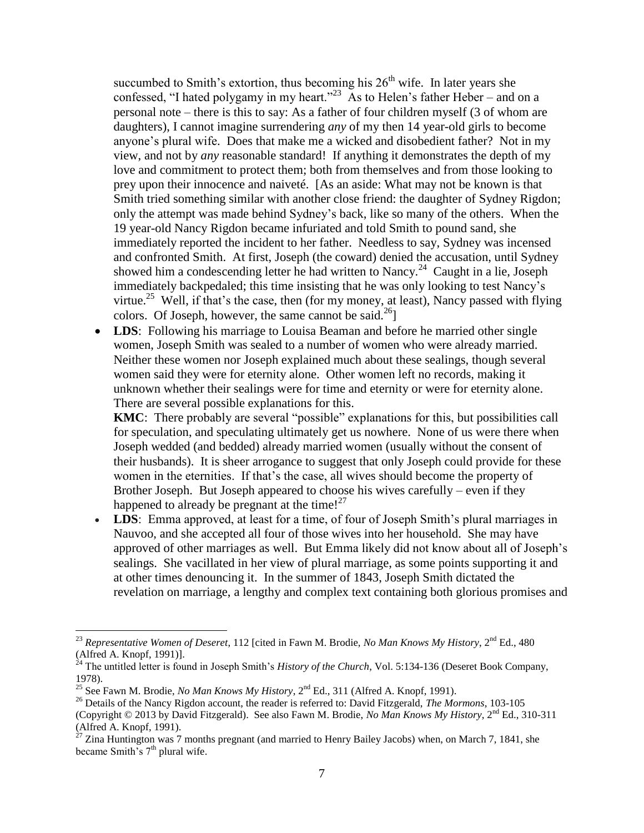succumbed to Smith's extortion, thus becoming his  $26<sup>th</sup>$  wife. In later years she confessed, "I hated polygamy in my heart."<sup>23</sup> As to Helen's father Heber – and on a personal note – there is this to say: As a father of four children myself (3 of whom are daughters), I cannot imagine surrendering *any* of my then 14 year-old girls to become anyone's plural wife. Does that make me a wicked and disobedient father? Not in my view, and not by *any* reasonable standard! If anything it demonstrates the depth of my love and commitment to protect them; both from themselves and from those looking to prey upon their innocence and naiveté. [As an aside: What may not be known is that Smith tried something similar with another close friend: the daughter of Sydney Rigdon; only the attempt was made behind Sydney's back, like so many of the others. When the 19 year-old Nancy Rigdon became infuriated and told Smith to pound sand, she immediately reported the incident to her father. Needless to say, Sydney was incensed and confronted Smith. At first, Joseph (the coward) denied the accusation, until Sydney showed him a condescending letter he had written to Nancy.<sup>24</sup> Caught in a lie, Joseph immediately backpedaled; this time insisting that he was only looking to test Nancy's virtue.<sup>25</sup> Well, if that's the case, then (for my money, at least), Nancy passed with flying colors. Of Joseph, however, the same cannot be said.<sup>26</sup>]

 **LDS**: Following his marriage to Louisa Beaman and before he married other single women, Joseph Smith was sealed to a number of women who were already married. Neither these women nor Joseph explained much about these sealings, though several women said they were for eternity alone. Other women left no records, making it unknown whether their sealings were for time and eternity or were for eternity alone. There are several possible explanations for this.

**KMC**: There probably are several "possible" explanations for this, but possibilities call for speculation, and speculating ultimately get us nowhere. None of us were there when Joseph wedded (and bedded) already married women (usually without the consent of their husbands). It is sheer arrogance to suggest that only Joseph could provide for these women in the eternities. If that's the case, all wives should become the property of Brother Joseph. But Joseph appeared to choose his wives carefully – even if they happened to already be pregnant at the time! $^{27}$ 

 **LDS**: Emma approved, at least for a time, of four of Joseph Smith's plural marriages in Nauvoo, and she accepted all four of those wives into her household. She may have approved of other marriages as well. But Emma likely did not know about all of Joseph's sealings. She vacillated in her view of plural marriage, as some points supporting it and at other times denouncing it. In the summer of 1843, Joseph Smith dictated the revelation on marriage, a lengthy and complex text containing both glorious promises and

<sup>&</sup>lt;sup>23</sup> Representative Women of Deseret, 112 [cited in Fawn M. Brodie, *No Man Knows My History*, 2<sup>nd</sup> Ed., 480 (Alfred A. Knopf, 1991)].

<sup>&</sup>lt;sup>24</sup> The untitled letter is found in Joseph Smith's *History of the Church*, Vol. 5:134-136 (Deseret Book Company, 1978).

<sup>&</sup>lt;sup>25</sup> See Fawn M. Brodie, *No Man Knows My History*,  $2<sup>nd</sup>$  Ed., 311 (Alfred A. Knopf, 1991).

<sup>26</sup> Details of the Nancy Rigdon account, the reader is referred to: David Fitzgerald, *The Mormons*, 103-105 (Copyright © 2013 by David Fitzgerald). See also Fawn M. Brodie, *No Man Knows My History*, 2nd Ed., 310-311 (Alfred A. Knopf, 1991).

 $^{27}$  Zina Huntington was 7 months pregnant (and married to Henry Bailey Jacobs) when, on March 7, 1841, she became Smith's  $7<sup>th</sup>$  plural wife.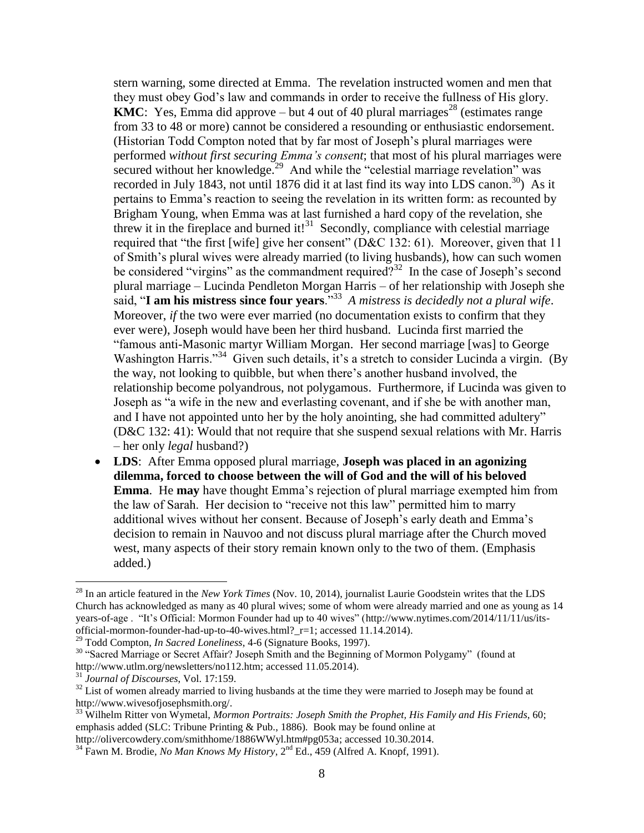stern warning, some directed at Emma. The revelation instructed women and men that they must obey God's law and commands in order to receive the fullness of His glory. **KMC**: Yes, Emma did approve – but 4 out of 40 plural marriages<sup>28</sup> (estimates range from 33 to 48 or more) cannot be considered a resounding or enthusiastic endorsement. (Historian Todd Compton noted that by far most of Joseph's plural marriages were performed *without first securing Emma's consent*; that most of his plural marriages were secured without her knowledge.<sup>29</sup> And while the "celestial marriage revelation" was recorded in July 1843, not until 1876 did it at last find its way into LDS canon.<sup>30</sup>) As it pertains to Emma's reaction to seeing the revelation in its written form: as recounted by Brigham Young, when Emma was at last furnished a hard copy of the revelation, she threw it in the fireplace and burned it!<sup>31</sup> Secondly, compliance with celestial marriage required that "the first [wife] give her consent" (D&C 132: 61). Moreover, given that 11 of Smith's plural wives were already married (to living husbands), how can such women be considered "virgins" as the commandment required?<sup>32</sup> In the case of Joseph's second plural marriage – Lucinda Pendleton Morgan Harris – of her relationship with Joseph she said, "**I am his mistress since four years**."<sup>33</sup> *A mistress is decidedly not a plural wife*. Moreover, *if* the two were ever married (no documentation exists to confirm that they ever were), Joseph would have been her third husband. Lucinda first married the "famous anti-Masonic martyr William Morgan. Her second marriage [was] to George Washington Harris."<sup>34</sup> Given such details, it's a stretch to consider Lucinda a virgin. (By the way, not looking to quibble, but when there's another husband involved, the relationship become polyandrous, not polygamous. Furthermore, if Lucinda was given to Joseph as "a wife in the new and everlasting covenant, and if she be with another man, and I have not appointed unto her by the holy anointing, she had committed adultery" (D&C 132: 41): Would that not require that she suspend sexual relations with Mr. Harris – her only *legal* husband?)

 **LDS**: After Emma opposed plural marriage, **Joseph was placed in an agonizing dilemma, forced to choose between the will of God and the will of his beloved Emma**. He **may** have thought Emma's rejection of plural marriage exempted him from the law of Sarah. Her decision to "receive not this law" permitted him to marry additional wives without her consent. Because of Joseph's early death and Emma's decision to remain in Nauvoo and not discuss plural marriage after the Church moved west, many aspects of their story remain known only to the two of them. (Emphasis added.)

<sup>&</sup>lt;sup>28</sup> In an article featured in the *New York Times* (Nov. 10, 2014), journalist Laurie Goodstein writes that the LDS Church has acknowledged as many as 40 plural wives; some of whom were already married and one as young as 14 years-of-age . "It's Official: Mormon Founder had up to 40 wives" (http://www.nytimes.com/2014/11/11/us/itsofficial-mormon-founder-had-up-to-40-wives.html?\_r=1; accessed 11.14.2014).

<sup>29</sup> Todd Compton, *In Sacred Loneliness*, 4-6 (Signature Books, 1997).

<sup>&</sup>lt;sup>30</sup> "Sacred Marriage or Secret Affair? Joseph Smith and the Beginning of Mormon Polygamy" (found at http://www.utlm.org/newsletters/no112.htm; accessed 11.05.2014).

<sup>31</sup> *Journal of Discourses*, Vol. 17:159.

 $32$  List of women already married to living husbands at the time they were married to Joseph may be found at http://www.wivesofjosephsmith.org/.

<sup>33</sup> Wilhelm Ritter von Wymetal, *Mormon Portraits: Joseph Smith the Prophet, His Family and His Friends*, 60; emphasis added (SLC: Tribune Printing & Pub., 1886). Book may be found online at http://olivercowdery.com/smithhome/1886WWyl.htm#pg053a; accessed 10.30.2014.

 $34$  Fawn M. Brodie, *No Man Knows My History*,  $2<sup>nd</sup>$  Ed., 459 (Alfred A. Knopf, 1991).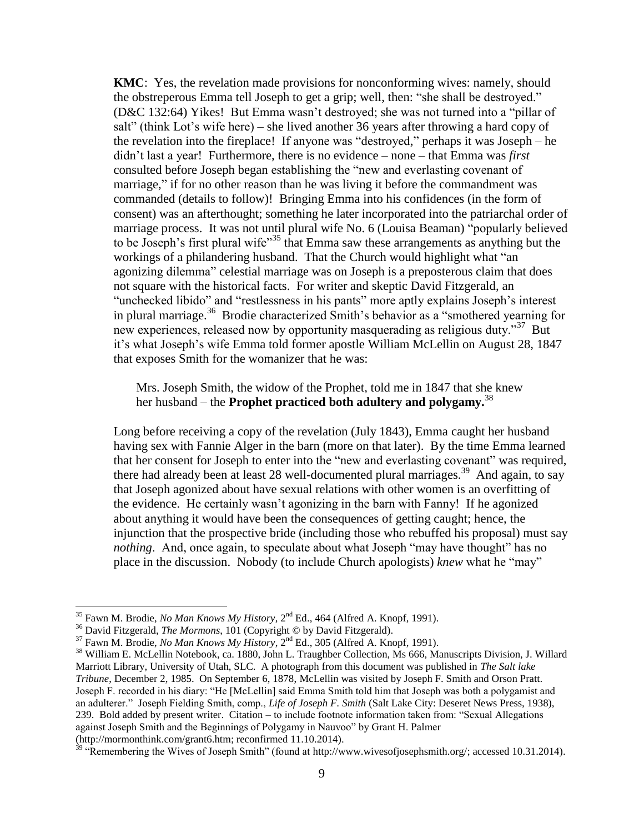**KMC**: Yes, the revelation made provisions for nonconforming wives: namely, should the obstreperous Emma tell Joseph to get a grip; well, then: "she shall be destroyed." (D&C 132:64) Yikes! But Emma wasn't destroyed; she was not turned into a "pillar of salt" (think Lot's wife here) – she lived another 36 years after throwing a hard copy of the revelation into the fireplace! If anyone was "destroyed," perhaps it was Joseph – he didn't last a year! Furthermore, there is no evidence – none – that Emma was *first* consulted before Joseph began establishing the "new and everlasting covenant of marriage," if for no other reason than he was living it before the commandment was commanded (details to follow)! Bringing Emma into his confidences (in the form of consent) was an afterthought; something he later incorporated into the patriarchal order of marriage process. It was not until plural wife No. 6 (Louisa Beaman) "popularly believed to be Joseph's first plural wife<sup>35</sup> that Emma saw these arrangements as anything but the workings of a philandering husband. That the Church would highlight what "an agonizing dilemma" celestial marriage was on Joseph is a preposterous claim that does not square with the historical facts. For writer and skeptic David Fitzgerald, an "unchecked libido" and "restlessness in his pants" more aptly explains Joseph's interest in plural marriage.<sup>36</sup> Brodie characterized Smith's behavior as a "smothered yearning for new experiences, released now by opportunity masquerading as religious duty."<sup>37</sup> But it's what Joseph's wife Emma told former apostle William McLellin on August 28, 1847 that exposes Smith for the womanizer that he was:

Mrs. Joseph Smith, the widow of the Prophet, told me in 1847 that she knew her husband – the **Prophet practiced both adultery and polygamy.**<sup>38</sup>

Long before receiving a copy of the revelation (July 1843), Emma caught her husband having sex with Fannie Alger in the barn (more on that later). By the time Emma learned that her consent for Joseph to enter into the "new and everlasting covenant" was required, there had already been at least 28 well-documented plural marriages.<sup>39</sup> And again, to say that Joseph agonized about have sexual relations with other women is an overfitting of the evidence. He certainly wasn't agonizing in the barn with Fanny! If he agonized about anything it would have been the consequences of getting caught; hence, the injunction that the prospective bride (including those who rebuffed his proposal) must say *nothing*. And, once again, to speculate about what Joseph "may have thought" has no place in the discussion. Nobody (to include Church apologists) *knew* what he "may"

<sup>&</sup>lt;sup>35</sup> Fawn M. Brodie, *No Man Knows My History*, 2<sup>nd</sup> Ed., 464 (Alfred A. Knopf, 1991).

<sup>36</sup> David Fitzgerald, *The Mormons*, 101 (Copyright © by David Fitzgerald).

<sup>&</sup>lt;sup>37</sup> Fawn M. Brodie, *No Man Knows My History*, 2<sup>nd</sup> Ed., 305 (Alfred A. Knopf, 1991).

<sup>38</sup> William E. McLellin Notebook, ca. 1880, John L. Traughber Collection, Ms 666, Manuscripts Division, J. Willard Marriott Library, University of Utah, SLC. A photograph from this document was published in *The Salt lake Tribune*, December 2, 1985. On September 6, 1878, McLellin was visited by Joseph F. Smith and Orson Pratt. Joseph F. recorded in his diary: "He [McLellin] said Emma Smith told him that Joseph was both a polygamist and an adulterer." Joseph Fielding Smith, comp., *Life of Joseph F. Smith* (Salt Lake City: Deseret News Press, 1938), 239. Bold added by present writer. Citation – to include footnote information taken from: "Sexual Allegations against Joseph Smith and the Beginnings of Polygamy in Nauvoo" by Grant H. Palmer (http://mormonthink.com/grant6.htm; reconfirmed 11.10.2014).

 $39$  "Remembering the Wives of Joseph Smith" (found at http://www.wivesofjosephsmith.org/; accessed 10.31.2014).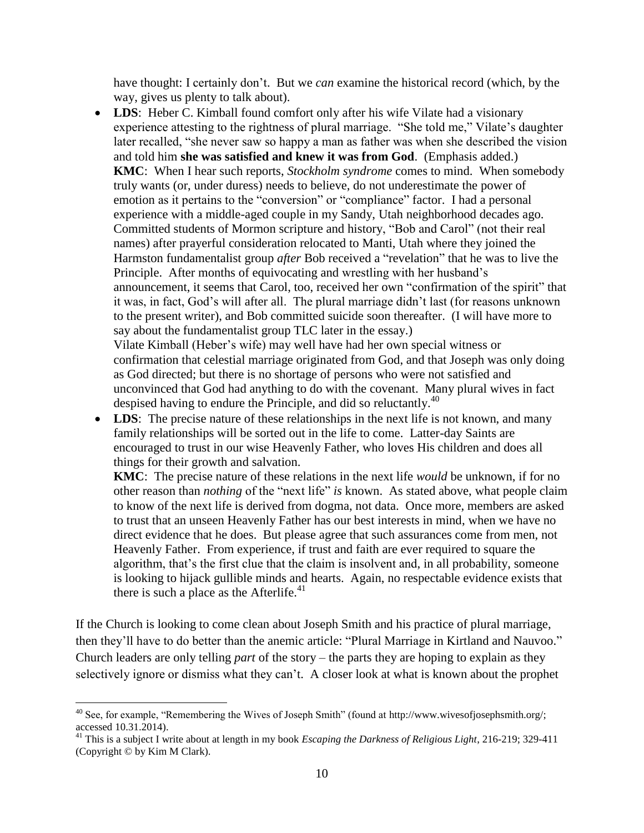have thought: I certainly don't. But we *can* examine the historical record (which, by the way, gives us plenty to talk about).

- LDS: Heber C. Kimball found comfort only after his wife Vilate had a visionary experience attesting to the rightness of plural marriage. "She told me," Vilate's daughter later recalled, "she never saw so happy a man as father was when she described the vision and told him **she was satisfied and knew it was from God**. (Emphasis added.) **KMC**: When I hear such reports, *Stockholm syndrome* comes to mind. When somebody truly wants (or, under duress) needs to believe, do not underestimate the power of emotion as it pertains to the "conversion" or "compliance" factor. I had a personal experience with a middle-aged couple in my Sandy, Utah neighborhood decades ago. Committed students of Mormon scripture and history, "Bob and Carol" (not their real names) after prayerful consideration relocated to Manti, Utah where they joined the Harmston fundamentalist group *after* Bob received a "revelation" that he was to live the Principle. After months of equivocating and wrestling with her husband's announcement, it seems that Carol, too, received her own "confirmation of the spirit" that it was, in fact, God's will after all. The plural marriage didn't last (for reasons unknown to the present writer), and Bob committed suicide soon thereafter. (I will have more to say about the fundamentalist group TLC later in the essay.) Vilate Kimball (Heber's wife) may well have had her own special witness or confirmation that celestial marriage originated from God, and that Joseph was only doing as God directed; but there is no shortage of persons who were not satisfied and unconvinced that God had anything to do with the covenant. Many plural wives in fact despised having to endure the Principle, and did so reluctantly.<sup>40</sup>
- LDS: The precise nature of these relationships in the next life is not known, and many family relationships will be sorted out in the life to come. Latter-day Saints are encouraged to trust in our wise Heavenly Father, who loves His children and does all things for their growth and salvation.

**KMC**: The precise nature of these relations in the next life *would* be unknown, if for no other reason than *nothing* of the "next life" *is* known. As stated above, what people claim to know of the next life is derived from dogma, not data. Once more, members are asked to trust that an unseen Heavenly Father has our best interests in mind, when we have no direct evidence that he does. But please agree that such assurances come from men, not Heavenly Father. From experience, if trust and faith are ever required to square the algorithm, that's the first clue that the claim is insolvent and, in all probability, someone is looking to hijack gullible minds and hearts. Again, no respectable evidence exists that there is such a place as the Afterlife.<sup>41</sup>

If the Church is looking to come clean about Joseph Smith and his practice of plural marriage, then they'll have to do better than the anemic article: "Plural Marriage in Kirtland and Nauvoo." Church leaders are only telling *part* of the story – the parts they are hoping to explain as they selectively ignore or dismiss what they can't. A closer look at what is known about the prophet

 $40$  See, for example, "Remembering the Wives of Joseph Smith" (found at http://www.wivesofjosephsmith.org/; accessed 10.31.2014).

<sup>41</sup> This is a subject I write about at length in my book *Escaping the Darkness of Religious Light*, 216-219; 329-411 (Copyright © by Kim M Clark).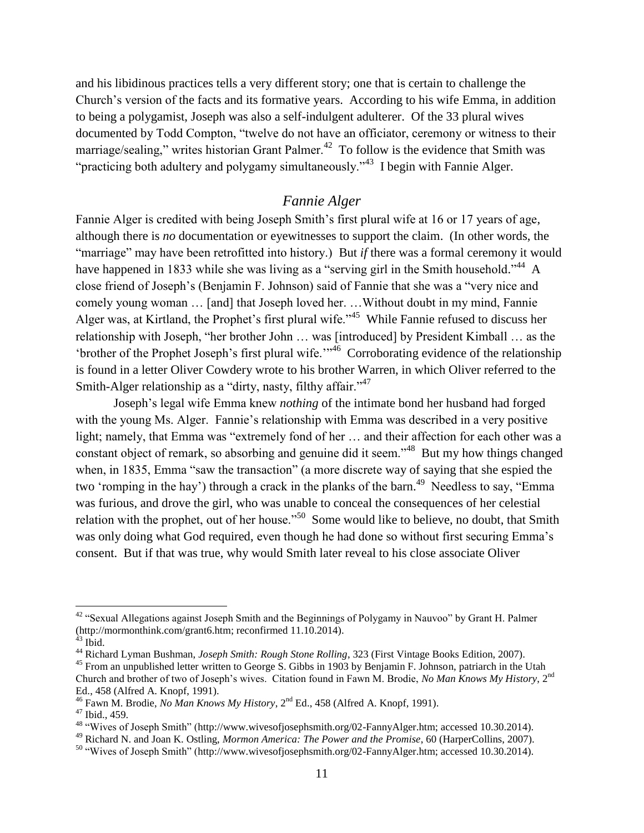and his libidinous practices tells a very different story; one that is certain to challenge the Church's version of the facts and its formative years. According to his wife Emma, in addition to being a polygamist, Joseph was also a self-indulgent adulterer. Of the 33 plural wives documented by Todd Compton, "twelve do not have an officiator, ceremony or witness to their marriage/sealing," writes historian Grant Palmer.<sup>42</sup> To follow is the evidence that Smith was "practicing both adultery and polygamy simultaneously."<sup>43</sup> I begin with Fannie Alger.

### *Fannie Alger*

Fannie Alger is credited with being Joseph Smith's first plural wife at 16 or 17 years of age, although there is *no* documentation or eyewitnesses to support the claim. (In other words, the "marriage" may have been retrofitted into history.) But *if* there was a formal ceremony it would have happened in 1833 while she was living as a "serving girl in the Smith household."<sup>44</sup> A close friend of Joseph's (Benjamin F. Johnson) said of Fannie that she was a "very nice and comely young woman … [and] that Joseph loved her. …Without doubt in my mind, Fannie Alger was, at Kirtland, the Prophet's first plural wife."<sup>45</sup> While Fannie refused to discuss her relationship with Joseph, "her brother John … was [introduced] by President Kimball … as the 'brother of the Prophet Joseph's first plural wife.'"<sup>46</sup> Corroborating evidence of the relationship is found in a letter Oliver Cowdery wrote to his brother Warren, in which Oliver referred to the Smith-Alger relationship as a "dirty, nasty, filthy affair."<sup>47</sup>

Joseph's legal wife Emma knew *nothing* of the intimate bond her husband had forged with the young Ms. Alger. Fannie's relationship with Emma was described in a very positive light; namely, that Emma was "extremely fond of her … and their affection for each other was a constant object of remark, so absorbing and genuine did it seem."<sup>48</sup> But my how things changed when, in 1835. Emma "saw the transaction" (a more discrete way of saying that she espied the two 'romping in the hay') through a crack in the planks of the barn.<sup>49</sup> Needless to say, "Emma was furious, and drove the girl, who was unable to conceal the consequences of her celestial relation with the prophet, out of her house."<sup>50</sup> Some would like to believe, no doubt, that Smith was only doing what God required, even though he had done so without first securing Emma's consent. But if that was true, why would Smith later reveal to his close associate Oliver

<sup>&</sup>lt;sup>42</sup> "Sexual Allegations against Joseph Smith and the Beginnings of Polygamy in Nauvoo" by Grant H. Palmer (http://mormonthink.com/grant6.htm; reconfirmed 11.10.2014).

 $43$  Ibid.

<sup>44</sup> Richard Lyman Bushman, *Joseph Smith: Rough Stone Rolling*, 323 (First Vintage Books Edition, 2007).

<sup>&</sup>lt;sup>45</sup> From an unpublished letter written to George S. Gibbs in 1903 by Benjamin F. Johnson, patriarch in the Utah Church and brother of two of Joseph's wives. Citation found in Fawn M. Brodie, *No Man Knows My History*, 2nd Ed., 458 (Alfred A. Knopf, 1991).

<sup>46</sup> Fawn M. Brodie, *No Man Knows My History*, 2nd Ed., 458 (Alfred A. Knopf, 1991).

<sup>47</sup> Ibid., 459.

<sup>48</sup> "Wives of Joseph Smith" (http://www.wivesofjosephsmith.org/02-FannyAlger.htm; accessed 10.30.2014).

<sup>49</sup> Richard N. and Joan K. Ostling, *Mormon America: The Power and the Promise*, 60 (HarperCollins, 2007).

<sup>50</sup> "Wives of Joseph Smith" (http://www.wivesofjosephsmith.org/02-FannyAlger.htm; accessed 10.30.2014).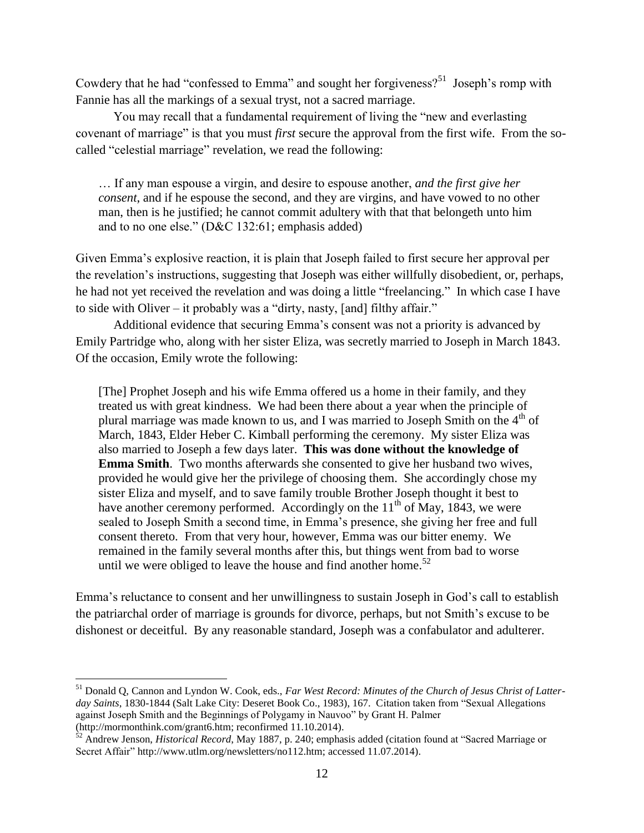Cowdery that he had "confessed to Emma" and sought her forgiveness?<sup>51</sup> Joseph's romp with Fannie has all the markings of a sexual tryst, not a sacred marriage.

You may recall that a fundamental requirement of living the "new and everlasting covenant of marriage" is that you must *first* secure the approval from the first wife. From the socalled "celestial marriage" revelation, we read the following:

… If any man espouse a virgin, and desire to espouse another, *and the first give her consent*, and if he espouse the second, and they are virgins, and have vowed to no other man, then is he justified; he cannot commit adultery with that that belongeth unto him and to no one else." (D&C 132:61; emphasis added)

Given Emma's explosive reaction, it is plain that Joseph failed to first secure her approval per the revelation's instructions, suggesting that Joseph was either willfully disobedient, or, perhaps, he had not yet received the revelation and was doing a little "freelancing." In which case I have to side with Oliver – it probably was a "dirty, nasty, [and] filthy affair."

Additional evidence that securing Emma's consent was not a priority is advanced by Emily Partridge who, along with her sister Eliza, was secretly married to Joseph in March 1843. Of the occasion, Emily wrote the following:

[The] Prophet Joseph and his wife Emma offered us a home in their family, and they treated us with great kindness. We had been there about a year when the principle of plural marriage was made known to us, and I was married to Joseph Smith on the  $4<sup>th</sup>$  of March, 1843, Elder Heber C. Kimball performing the ceremony. My sister Eliza was also married to Joseph a few days later. **This was done without the knowledge of Emma Smith**. Two months afterwards she consented to give her husband two wives, provided he would give her the privilege of choosing them. She accordingly chose my sister Eliza and myself, and to save family trouble Brother Joseph thought it best to have another ceremony performed. Accordingly on the  $11<sup>th</sup>$  of May, 1843, we were sealed to Joseph Smith a second time, in Emma's presence, she giving her free and full consent thereto. From that very hour, however, Emma was our bitter enemy. We remained in the family several months after this, but things went from bad to worse until we were obliged to leave the house and find another home.<sup>52</sup>

Emma's reluctance to consent and her unwillingness to sustain Joseph in God's call to establish the patriarchal order of marriage is grounds for divorce, perhaps, but not Smith's excuse to be dishonest or deceitful. By any reasonable standard, Joseph was a confabulator and adulterer.

<sup>51</sup> Donald Q, Cannon and Lyndon W. Cook, eds., *Far West Record: Minutes of the Church of Jesus Christ of Latterday Saints*, 1830-1844 (Salt Lake City: Deseret Book Co., 1983), 167. Citation taken from "Sexual Allegations against Joseph Smith and the Beginnings of Polygamy in Nauvoo" by Grant H. Palmer (http://mormonthink.com/grant6.htm; reconfirmed 11.10.2014).

<sup>52</sup> Andrew Jenson, *Historical Record*, May 1887, p. 240; emphasis added (citation found at "Sacred Marriage or Secret Affair" http://www.utlm.org/newsletters/no112.htm; accessed 11.07.2014).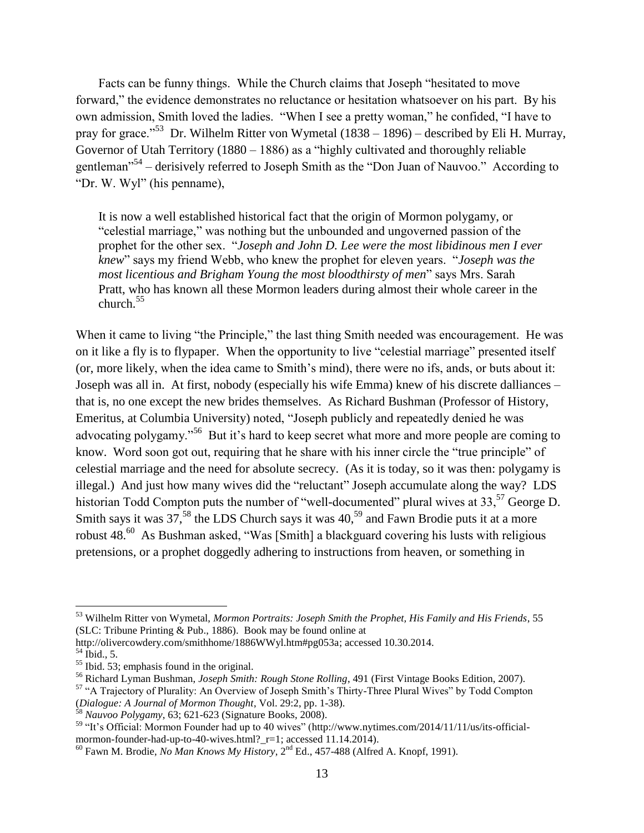Facts can be funny things. While the Church claims that Joseph "hesitated to move forward," the evidence demonstrates no reluctance or hesitation whatsoever on his part. By his own admission, Smith loved the ladies. "When I see a pretty woman," he confided, "I have to pray for grace."<sup>53</sup> Dr. Wilhelm Ritter von Wymetal (1838 – 1896) – described by Eli H. Murray, Governor of Utah Territory (1880 – 1886) as a "highly cultivated and thoroughly reliable gentleman<sup>"54</sup> – derisively referred to Joseph Smith as the "Don Juan of Nauvoo." According to "Dr. W. Wyl" (his penname),

It is now a well established historical fact that the origin of Mormon polygamy, or "celestial marriage," was nothing but the unbounded and ungoverned passion of the prophet for the other sex. "*Joseph and John D. Lee were the most libidinous men I ever knew*" says my friend Webb, who knew the prophet for eleven years. "*Joseph was the most licentious and Brigham Young the most bloodthirsty of men*" says Mrs. Sarah Pratt, who has known all these Mormon leaders during almost their whole career in the church. $55$ 

When it came to living "the Principle," the last thing Smith needed was encouragement. He was on it like a fly is to flypaper. When the opportunity to live "celestial marriage" presented itself (or, more likely, when the idea came to Smith's mind), there were no ifs, ands, or buts about it: Joseph was all in. At first, nobody (especially his wife Emma) knew of his discrete dalliances – that is, no one except the new brides themselves. As Richard Bushman (Professor of History, Emeritus, at Columbia University) noted, "Joseph publicly and repeatedly denied he was advocating polygamy."<sup>56</sup> But it's hard to keep secret what more and more people are coming to know. Word soon got out, requiring that he share with his inner circle the "true principle" of celestial marriage and the need for absolute secrecy. (As it is today, so it was then: polygamy is illegal.) And just how many wives did the "reluctant" Joseph accumulate along the way? LDS historian Todd Compton puts the number of "well-documented" plural wives at 33,<sup>57</sup> George D. Smith says it was  $37<sup>58</sup>$  the LDS Church says it was  $40<sup>59</sup>$  and Fawn Brodie puts it at a more robust 48.<sup>60</sup> As Bushman asked, "Was [Smith] a blackguard covering his lusts with religious pretensions, or a prophet doggedly adhering to instructions from heaven, or something in

<sup>53</sup> Wilhelm Ritter von Wymetal, *Mormon Portraits: Joseph Smith the Prophet, His Family and His Friends*, 55 (SLC: Tribune Printing & Pub., 1886). Book may be found online at

http://olivercowdery.com/smithhome/1886WWyl.htm#pg053a; accessed 10.30.2014.

 $<sup>54</sup>$  Ibid., 5.</sup>

 $<sup>55</sup>$  Ibid. 53; emphasis found in the original.</sup>

<sup>56</sup> Richard Lyman Bushman, *Joseph Smith: Rough Stone Rolling*, 491 (First Vintage Books Edition, 2007).

<sup>57</sup> "A Trajectory of Plurality: An Overview of Joseph Smith's Thirty-Three Plural Wives" by Todd Compton (*Dialogue: A Journal of Mormon Thought*, Vol. 29:2, pp. 1-38).

<sup>58</sup> *Nauvoo Polygamy*, 63; 621-623 (Signature Books, 2008).

<sup>59</sup> "It's Official: Mormon Founder had up to 40 wives" (http://www.nytimes.com/2014/11/11/us/its-officialmormon-founder-had-up-to-40-wives.html?\_r=1; accessed 11.14.2014).

<sup>&</sup>lt;sup>60</sup> Fawn M. Brodie, *No Man Knows My History*, 2<sup>nd</sup> Ed., 457-488 (Alfred A. Knopf, 1991).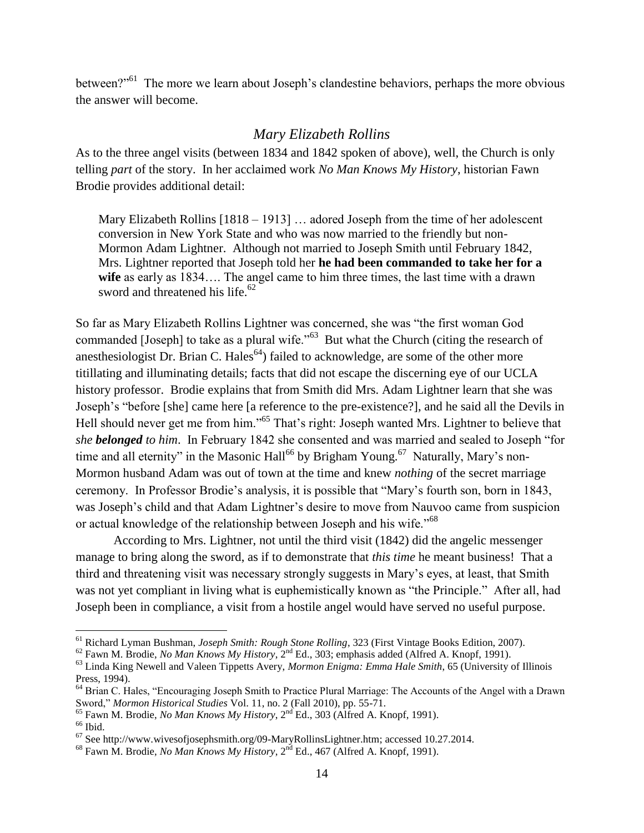between?"<sup>61</sup> The more we learn about Joseph's clandestine behaviors, perhaps the more obvious the answer will become.

## *Mary Elizabeth Rollins*

As to the three angel visits (between 1834 and 1842 spoken of above), well, the Church is only telling *part* of the story. In her acclaimed work *No Man Knows My History*, historian Fawn Brodie provides additional detail:

Mary Elizabeth Rollins [1818 – 1913] … adored Joseph from the time of her adolescent conversion in New York State and who was now married to the friendly but non-Mormon Adam Lightner. Although not married to Joseph Smith until February 1842, Mrs. Lightner reported that Joseph told her **he had been commanded to take her for a wife** as early as 1834…. The angel came to him three times, the last time with a drawn sword and threatened his life.<sup>62</sup>

So far as Mary Elizabeth Rollins Lightner was concerned, she was "the first woman God commanded [Joseph] to take as a plural wife."<sup>63</sup> But what the Church (citing the research of anesthesiologist Dr. Brian C. Hales<sup> $64$ </sup>) failed to acknowledge, are some of the other more titillating and illuminating details; facts that did not escape the discerning eye of our UCLA history professor. Brodie explains that from Smith did Mrs. Adam Lightner learn that she was Joseph's "before [she] came here [a reference to the pre-existence?], and he said all the Devils in Hell should never get me from him."<sup>65</sup> That's right: Joseph wanted Mrs. Lightner to believe that *she belonged to him*. In February 1842 she consented and was married and sealed to Joseph "for time and all eternity" in the Masonic Hall<sup>66</sup> by Brigham Young.<sup>67</sup> Naturally, Mary's non-Mormon husband Adam was out of town at the time and knew *nothing* of the secret marriage ceremony. In Professor Brodie's analysis, it is possible that "Mary's fourth son, born in 1843, was Joseph's child and that Adam Lightner's desire to move from Nauvoo came from suspicion or actual knowledge of the relationship between Joseph and his wife."<sup>68</sup>

According to Mrs. Lightner, not until the third visit (1842) did the angelic messenger manage to bring along the sword, as if to demonstrate that *this time* he meant business! That a third and threatening visit was necessary strongly suggests in Mary's eyes, at least, that Smith was not yet compliant in living what is euphemistically known as "the Principle." After all, had Joseph been in compliance, a visit from a hostile angel would have served no useful purpose.

<sup>61</sup> Richard Lyman Bushman, *Joseph Smith: Rough Stone Rolling*, 323 (First Vintage Books Edition, 2007).

<sup>62</sup> Fawn M. Brodie, *No Man Knows My History*, 2nd Ed., 303; emphasis added (Alfred A. Knopf, 1991).

<sup>63</sup> Linda King Newell and Valeen Tippetts Avery, *Mormon Enigma: Emma Hale Smith*, 65 (University of Illinois Press, 1994).

<sup>&</sup>lt;sup>64</sup> Brian C. Hales, "Encouraging Joseph Smith to Practice Plural Marriage: The Accounts of the Angel with a Drawn Sword," *Mormon Historical Studies* Vol. 11, no. 2 (Fall 2010), pp. 55-71.

<sup>65</sup> Fawn M. Brodie, *No Man Knows My History*, 2nd Ed., 303 (Alfred A. Knopf, 1991).

 $66$  Ibid.

 $67$  See http://www.wivesofjosephsmith.org/09-MaryRollinsLightner.htm; accessed 10.27.2014.

<sup>&</sup>lt;sup>68</sup> Fawn M. Brodie, *No Man Knows My History*, 2<sup>nd</sup> Ed., 467 (Alfred A. Knopf, 1991).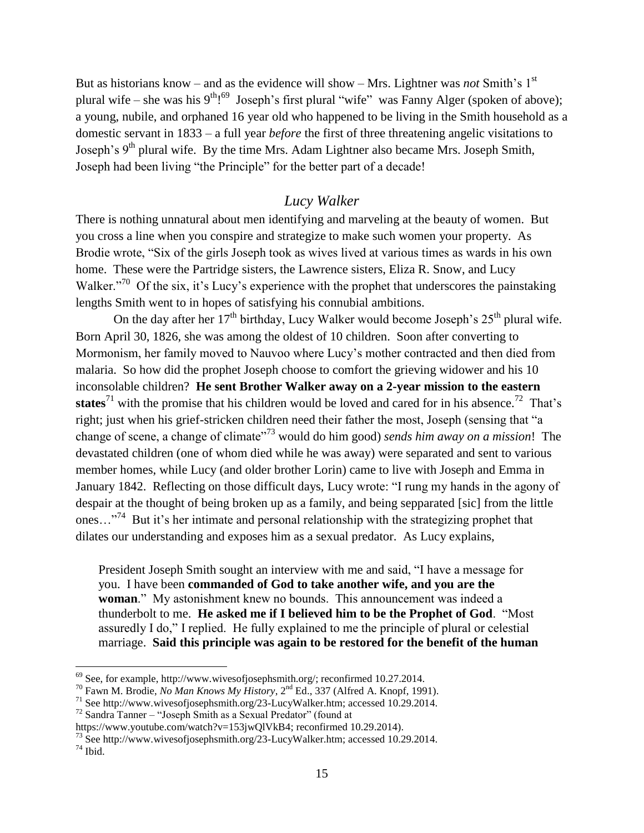But as historians know – and as the evidence will show – Mrs. Lightner was *not* Smith's  $1<sup>st</sup>$ plural wife – she was his 9<sup>th</sup>!<sup>69</sup> Joseph's first plural "wife" was Fanny Alger (spoken of above); a young, nubile, and orphaned 16 year old who happened to be living in the Smith household as a domestic servant in 1833 – a full year *before* the first of three threatening angelic visitations to Joseph's 9<sup>th</sup> plural wife. By the time Mrs. Adam Lightner also became Mrs. Joseph Smith, Joseph had been living "the Principle" for the better part of a decade!

## *Lucy Walker*

There is nothing unnatural about men identifying and marveling at the beauty of women. But you cross a line when you conspire and strategize to make such women your property. As Brodie wrote, "Six of the girls Joseph took as wives lived at various times as wards in his own home. These were the Partridge sisters, the Lawrence sisters, Eliza R. Snow, and Lucy Walker.<sup>"70</sup> Of the six, it's Lucy's experience with the prophet that underscores the painstaking lengths Smith went to in hopes of satisfying his connubial ambitions.

On the day after her  $17<sup>th</sup>$  birthday, Lucy Walker would become Joseph's  $25<sup>th</sup>$  plural wife. Born April 30, 1826, she was among the oldest of 10 children. Soon after converting to Mormonism, her family moved to Nauvoo where Lucy's mother contracted and then died from malaria. So how did the prophet Joseph choose to comfort the grieving widower and his 10 inconsolable children? **He sent Brother Walker away on a 2-year mission to the eastern**  states<sup>71</sup> with the promise that his children would be loved and cared for in his absence.<sup>72</sup> That's right; just when his grief-stricken children need their father the most, Joseph (sensing that "a change of scene, a change of climate"<sup>73</sup> would do him good) *sends him away on a mission*! The devastated children (one of whom died while he was away) were separated and sent to various member homes, while Lucy (and older brother Lorin) came to live with Joseph and Emma in January 1842. Reflecting on those difficult days, Lucy wrote: "I rung my hands in the agony of despair at the thought of being broken up as a family, and being sepparated [sic] from the little ones..."<sup>74</sup> But it's her intimate and personal relationship with the strategizing prophet that dilates our understanding and exposes him as a sexual predator. As Lucy explains,

President Joseph Smith sought an interview with me and said, "I have a message for you. I have been **commanded of God to take another wife, and you are the woman**." My astonishment knew no bounds. This announcement was indeed a thunderbolt to me. **He asked me if I believed him to be the Prophet of God**. "Most assuredly I do," I replied. He fully explained to me the principle of plural or celestial marriage. **Said this principle was again to be restored for the benefit of the human** 

 $^{69}$  See, for example, http://www.wivesofjosephsmith.org/; reconfirmed 10.27.2014.

<sup>70</sup> Fawn M. Brodie, *No Man Knows My History*, 2nd Ed., 337 (Alfred A. Knopf, 1991).

 $^{71}$  See http://www.wivesofjosephsmith.org/23-LucyWalker.htm; accessed 10.29.2014.

 $72$  Sandra Tanner – "Joseph Smith as a Sexual Predator" (found at

https://www.youtube.com/watch?v=153jwQlVkB4; reconfirmed 10.29.2014).

 $^{73}$  See http://www.wivesofjosephsmith.org/23-LucyWalker.htm; accessed 10.29.2014.

 $^{74}$  Ibid.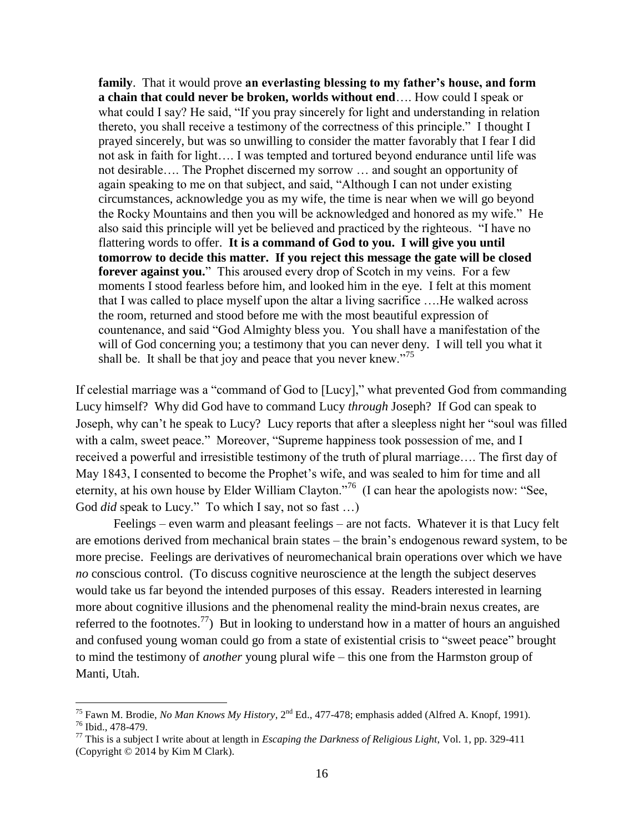**family**. That it would prove **an everlasting blessing to my father's house, and form a chain that could never be broken, worlds without end**…. How could I speak or what could I say? He said, "If you pray sincerely for light and understanding in relation thereto, you shall receive a testimony of the correctness of this principle." I thought I prayed sincerely, but was so unwilling to consider the matter favorably that I fear I did not ask in faith for light…. I was tempted and tortured beyond endurance until life was not desirable…. The Prophet discerned my sorrow … and sought an opportunity of again speaking to me on that subject, and said, "Although I can not under existing circumstances, acknowledge you as my wife, the time is near when we will go beyond the Rocky Mountains and then you will be acknowledged and honored as my wife." He also said this principle will yet be believed and practiced by the righteous. "I have no flattering words to offer. **It is a command of God to you. I will give you until tomorrow to decide this matter. If you reject this message the gate will be closed forever against you.**" This aroused every drop of Scotch in my veins. For a few moments I stood fearless before him, and looked him in the eye. I felt at this moment that I was called to place myself upon the altar a living sacrifice ….He walked across the room, returned and stood before me with the most beautiful expression of countenance, and said "God Almighty bless you. You shall have a manifestation of the will of God concerning you; a testimony that you can never deny. I will tell you what it shall be. It shall be that joy and peace that you never knew. $175$ 

If celestial marriage was a "command of God to [Lucy]," what prevented God from commanding Lucy himself? Why did God have to command Lucy *through* Joseph? If God can speak to Joseph, why can't he speak to Lucy? Lucy reports that after a sleepless night her "soul was filled with a calm, sweet peace." Moreover, "Supreme happiness took possession of me, and I received a powerful and irresistible testimony of the truth of plural marriage…. The first day of May 1843, I consented to become the Prophet's wife, and was sealed to him for time and all eternity, at his own house by Elder William Clayton."<sup>76</sup> (I can hear the apologists now: "See, God *did* speak to Lucy." To which I say, not so fast ...)

Feelings – even warm and pleasant feelings – are not facts. Whatever it is that Lucy felt are emotions derived from mechanical brain states – the brain's endogenous reward system, to be more precise. Feelings are derivatives of neuromechanical brain operations over which we have *no* conscious control. (To discuss cognitive neuroscience at the length the subject deserves would take us far beyond the intended purposes of this essay. Readers interested in learning more about cognitive illusions and the phenomenal reality the mind-brain nexus creates, are referred to the footnotes.<sup>77</sup>) But in looking to understand how in a matter of hours an anguished and confused young woman could go from a state of existential crisis to "sweet peace" brought to mind the testimony of *another* young plural wife – this one from the Harmston group of Manti, Utah.

<sup>&</sup>lt;sup>75</sup> Fawn M. Brodie, *No Man Knows My History*, 2<sup>nd</sup> Ed., 477-478; emphasis added (Alfred A. Knopf, 1991). <sup>76</sup> Ibid., 478-479.

<sup>77</sup> This is a subject I write about at length in *Escaping the Darkness of Religious Light*, Vol. 1, pp. 329-411 (Copyright © 2014 by Kim M Clark).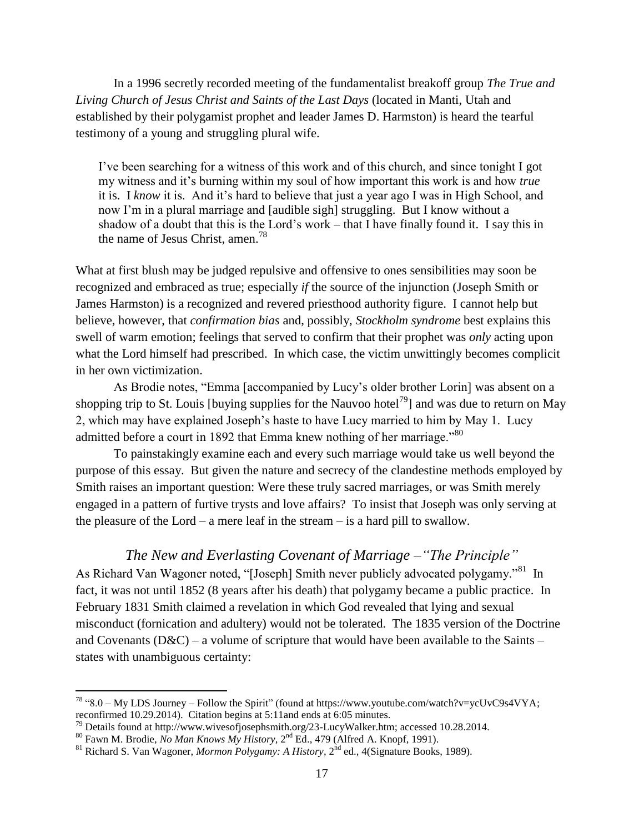In a 1996 secretly recorded meeting of the fundamentalist breakoff group *The True and Living Church of Jesus Christ and Saints of the Last Days* (located in Manti, Utah and established by their polygamist prophet and leader James D. Harmston) is heard the tearful testimony of a young and struggling plural wife.

I've been searching for a witness of this work and of this church, and since tonight I got my witness and it's burning within my soul of how important this work is and how *true* it is. I *know* it is. And it's hard to believe that just a year ago I was in High School, and now I'm in a plural marriage and [audible sigh] struggling. But I know without a shadow of a doubt that this is the Lord's work – that I have finally found it. I say this in the name of Jesus Christ, amen.<sup>78</sup>

What at first blush may be judged repulsive and offensive to ones sensibilities may soon be recognized and embraced as true; especially *if* the source of the injunction (Joseph Smith or James Harmston) is a recognized and revered priesthood authority figure. I cannot help but believe, however, that *confirmation bias* and, possibly, *Stockholm syndrome* best explains this swell of warm emotion; feelings that served to confirm that their prophet was *only* acting upon what the Lord himself had prescribed. In which case, the victim unwittingly becomes complicit in her own victimization.

As Brodie notes, "Emma [accompanied by Lucy's older brother Lorin] was absent on a shopping trip to St. Louis [buying supplies for the Nauvoo hotel<sup>79</sup>] and was due to return on May 2, which may have explained Joseph's haste to have Lucy married to him by May 1. Lucy admitted before a court in 1892 that Emma knew nothing of her marriage."<sup>80</sup>

To painstakingly examine each and every such marriage would take us well beyond the purpose of this essay. But given the nature and secrecy of the clandestine methods employed by Smith raises an important question: Were these truly sacred marriages, or was Smith merely engaged in a pattern of furtive trysts and love affairs? To insist that Joseph was only serving at the pleasure of the Lord – a mere leaf in the stream – is a hard pill to swallow.

#### *The New and Everlasting Covenant of Marriage –"The Principle"*

As Richard Van Wagoner noted, "[Joseph] Smith never publicly advocated polygamy."<sup>81</sup> In fact, it was not until 1852 (8 years after his death) that polygamy became a public practice. In February 1831 Smith claimed a revelation in which God revealed that lying and sexual misconduct (fornication and adultery) would not be tolerated. The 1835 version of the Doctrine and Covenants  $(D&C)$  – a volume of scripture that would have been available to the Saints – states with unambiguous certainty:

<sup>&</sup>lt;sup>78</sup> "8.0 – My LDS Journey – Follow the Spirit" (found at https://www.youtube.com/watch?v=ycUvC9s4VYA; reconfirmed 10.29.2014). Citation begins at 5:11and ends at 6:05 minutes.

 $79$  Details found at http://www.wivesofjosephsmith.org/23-LucyWalker.htm; accessed 10.28.2014.

<sup>80</sup> Fawn M. Brodie, *No Man Knows My History*, 2nd Ed., 479 (Alfred A. Knopf, 1991).

<sup>&</sup>lt;sup>81</sup> Richard S. Van Wagoner, *Mormon Polygamy: A History*, 2<sup>nd</sup> ed., 4(Signature Books, 1989).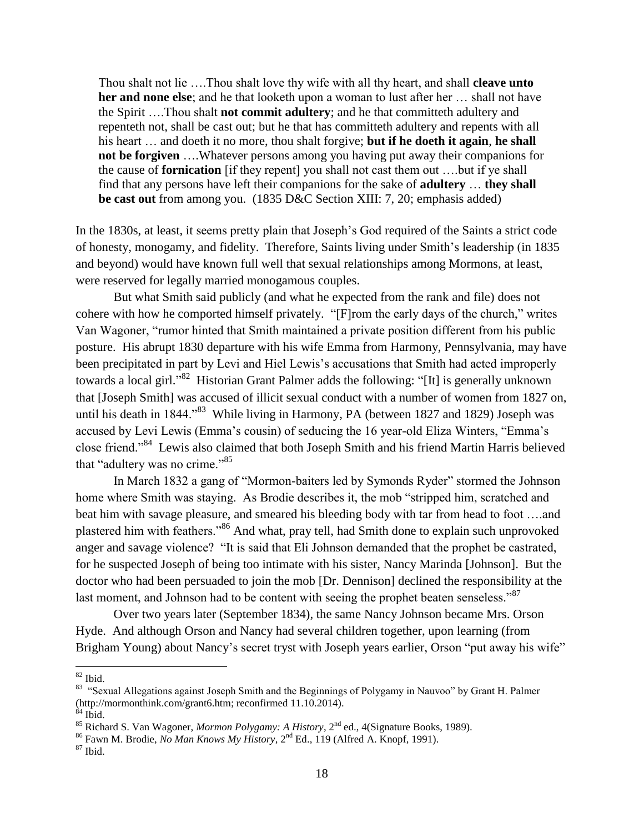Thou shalt not lie ….Thou shalt love thy wife with all thy heart, and shall **cleave unto her and none else**; and he that looketh upon a woman to lust after her … shall not have the Spirit ….Thou shalt **not commit adultery**; and he that committeth adultery and repenteth not, shall be cast out; but he that has committeth adultery and repents with all his heart … and doeth it no more, thou shalt forgive; **but if he doeth it again**, **he shall not be forgiven** ….Whatever persons among you having put away their companions for the cause of **fornication** [if they repent] you shall not cast them out ….but if ye shall find that any persons have left their companions for the sake of **adultery** … **they shall be cast out** from among you. (1835 D&C Section XIII: 7, 20; emphasis added)

In the 1830s, at least, it seems pretty plain that Joseph's God required of the Saints a strict code of honesty, monogamy, and fidelity. Therefore, Saints living under Smith's leadership (in 1835 and beyond) would have known full well that sexual relationships among Mormons, at least, were reserved for legally married monogamous couples.

But what Smith said publicly (and what he expected from the rank and file) does not cohere with how he comported himself privately. "[F]rom the early days of the church," writes Van Wagoner, "rumor hinted that Smith maintained a private position different from his public posture. His abrupt 1830 departure with his wife Emma from Harmony, Pennsylvania, may have been precipitated in part by Levi and Hiel Lewis's accusations that Smith had acted improperly towards a local girl."<sup>82</sup> Historian Grant Palmer adds the following: "[It] is generally unknown that [Joseph Smith] was accused of illicit sexual conduct with a number of women from 1827 on, until his death in 1844."<sup>83</sup> While living in Harmony, PA (between 1827 and 1829) Joseph was accused by Levi Lewis (Emma's cousin) of seducing the 16 year-old Eliza Winters, "Emma's close friend."<sup>84</sup> Lewis also claimed that both Joseph Smith and his friend Martin Harris believed that "adultery was no crime."<sup>85</sup>

In March 1832 a gang of "Mormon-baiters led by Symonds Ryder" stormed the Johnson home where Smith was staying. As Brodie describes it, the mob "stripped him, scratched and beat him with savage pleasure, and smeared his bleeding body with tar from head to foot ….and plastered him with feathers."<sup>86</sup> And what, pray tell, had Smith done to explain such unprovoked anger and savage violence? "It is said that Eli Johnson demanded that the prophet be castrated, for he suspected Joseph of being too intimate with his sister, Nancy Marinda [Johnson]. But the doctor who had been persuaded to join the mob [Dr. Dennison] declined the responsibility at the last moment, and Johnson had to be content with seeing the prophet beaten senseless."<sup>87</sup>

Over two years later (September 1834), the same Nancy Johnson became Mrs. Orson Hyde. And although Orson and Nancy had several children together, upon learning (from Brigham Young) about Nancy's secret tryst with Joseph years earlier, Orson "put away his wife"

 $82$  Ibid.

<sup>&</sup>lt;sup>83</sup> "Sexual Allegations against Joseph Smith and the Beginnings of Polygamy in Nauvoo" by Grant H. Palmer (http://mormonthink.com/grant6.htm; reconfirmed 11.10.2014).

 $84$  Ibid.

<sup>&</sup>lt;sup>85</sup> Richard S. Van Wagoner, *Mormon Polygamy: A History*, 2<sup>nd</sup> ed., 4(Signature Books, 1989).

<sup>86</sup> Fawn M. Brodie, *No Man Knows My History*, 2<sup>nd</sup> Ed., 119 (Alfred A. Knopf, 1991).

<sup>87</sup> Ibid.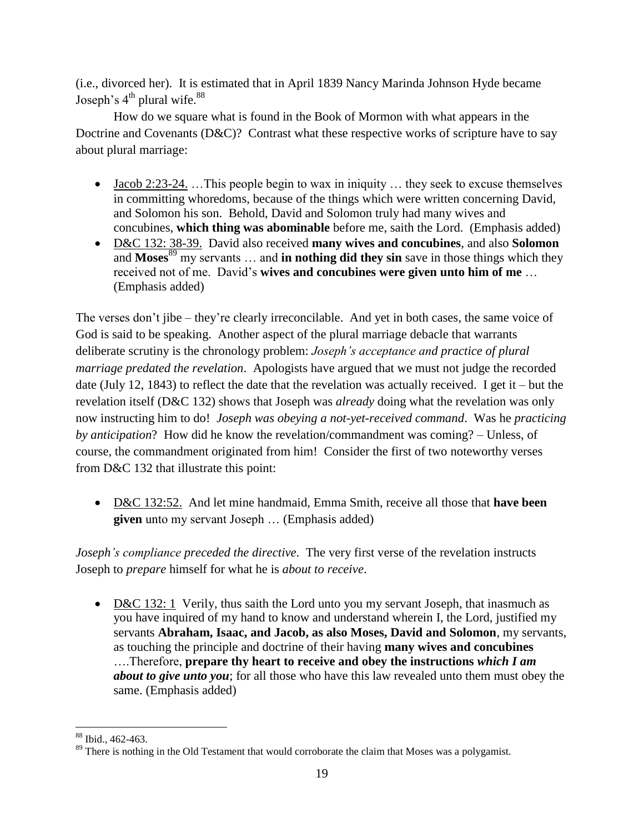(i.e., divorced her). It is estimated that in April 1839 Nancy Marinda Johnson Hyde became Joseph's 4<sup>th</sup> plural wife.<sup>88</sup>

How do we square what is found in the Book of Mormon with what appears in the Doctrine and Covenants (D&C)? Contrast what these respective works of scripture have to say about plural marriage:

- Jacob 2:23-24.  $\ldots$  This people begin to wax in iniquity  $\ldots$  they seek to excuse themselves in committing whoredoms, because of the things which were written concerning David, and Solomon his son. Behold, David and Solomon truly had many wives and concubines, **which thing was abominable** before me, saith the Lord. (Emphasis added)
- D&C 132: 38-39. David also received **many wives and concubines**, and also **Solomon** and **Moses**<sup>89</sup> my servants ... and **in nothing did they sin** save in those things which they received not of me. David's **wives and concubines were given unto him of me** … (Emphasis added)

The verses don't jibe – they're clearly irreconcilable. And yet in both cases, the same voice of God is said to be speaking. Another aspect of the plural marriage debacle that warrants deliberate scrutiny is the chronology problem: *Joseph's acceptance and practice of plural marriage predated the revelation*. Apologists have argued that we must not judge the recorded date (July 12, 1843) to reflect the date that the revelation was actually received. I get it – but the revelation itself (D&C 132) shows that Joseph was *already* doing what the revelation was only now instructing him to do! *Joseph was obeying a not-yet-received command*. Was he *practicing by anticipation*? How did he know the revelation/commandment was coming? – Unless, of course, the commandment originated from him! Consider the first of two noteworthy verses from D&C 132 that illustrate this point:

 D&C 132:52. And let mine handmaid, Emma Smith, receive all those that **have been given** unto my servant Joseph … (Emphasis added)

*Joseph's compliance preceded the directive*. The very first verse of the revelation instructs Joseph to *prepare* himself for what he is *about to receive*.

 D&C 132: 1 Verily, thus saith the Lord unto you my servant Joseph, that inasmuch as you have inquired of my hand to know and understand wherein I, the Lord, justified my servants **Abraham, Isaac, and Jacob, as also Moses, David and Solomon**, my servants, as touching the principle and doctrine of their having **many wives and concubines** ….Therefore, **prepare thy heart to receive and obey the instructions** *which I am about to give unto you*; for all those who have this law revealed unto them must obey the same. (Emphasis added)

 $\overline{a}$ <sup>88</sup> Ibid., 462-463.

<sup>&</sup>lt;sup>89</sup> There is nothing in the Old Testament that would corroborate the claim that Moses was a polygamist.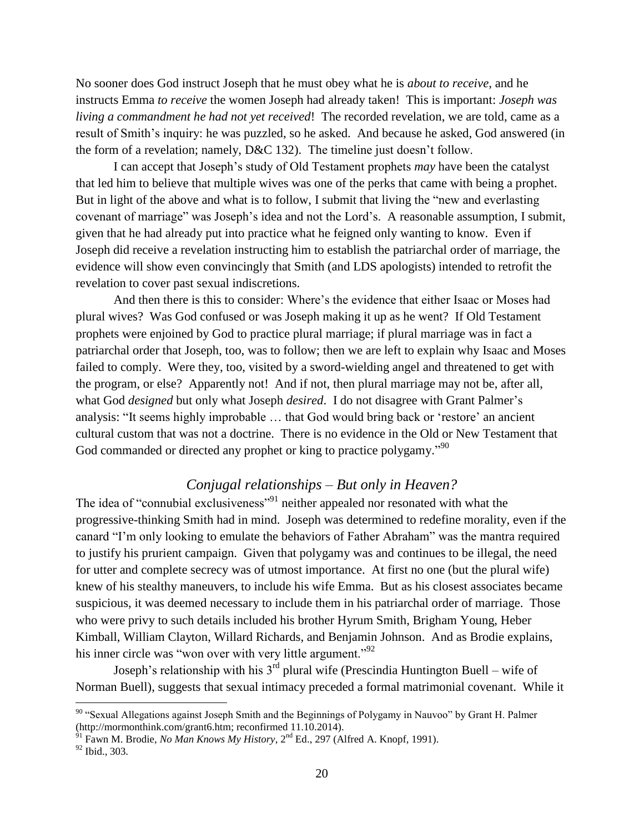No sooner does God instruct Joseph that he must obey what he is *about to receive*, and he instructs Emma *to receive* the women Joseph had already taken! This is important: *Joseph was living a commandment he had not yet received*! The recorded revelation, we are told, came as a result of Smith's inquiry: he was puzzled, so he asked. And because he asked, God answered (in the form of a revelation; namely, D&C 132). The timeline just doesn't follow.

I can accept that Joseph's study of Old Testament prophets *may* have been the catalyst that led him to believe that multiple wives was one of the perks that came with being a prophet. But in light of the above and what is to follow, I submit that living the "new and everlasting covenant of marriage" was Joseph's idea and not the Lord's. A reasonable assumption, I submit, given that he had already put into practice what he feigned only wanting to know. Even if Joseph did receive a revelation instructing him to establish the patriarchal order of marriage, the evidence will show even convincingly that Smith (and LDS apologists) intended to retrofit the revelation to cover past sexual indiscretions.

And then there is this to consider: Where's the evidence that either Isaac or Moses had plural wives? Was God confused or was Joseph making it up as he went? If Old Testament prophets were enjoined by God to practice plural marriage; if plural marriage was in fact a patriarchal order that Joseph, too, was to follow; then we are left to explain why Isaac and Moses failed to comply. Were they, too, visited by a sword-wielding angel and threatened to get with the program, or else? Apparently not! And if not, then plural marriage may not be, after all, what God *designed* but only what Joseph *desired*. I do not disagree with Grant Palmer's analysis: "It seems highly improbable … that God would bring back or 'restore' an ancient cultural custom that was not a doctrine. There is no evidence in the Old or New Testament that God commanded or directed any prophet or king to practice polygamy."<sup>90</sup>

#### *Conjugal relationships – But only in Heaven?*

The idea of "connubial exclusiveness"<sup>91</sup> neither appealed nor resonated with what the progressive-thinking Smith had in mind. Joseph was determined to redefine morality, even if the canard "I'm only looking to emulate the behaviors of Father Abraham" was the mantra required to justify his prurient campaign. Given that polygamy was and continues to be illegal, the need for utter and complete secrecy was of utmost importance. At first no one (but the plural wife) knew of his stealthy maneuvers, to include his wife Emma. But as his closest associates became suspicious, it was deemed necessary to include them in his patriarchal order of marriage. Those who were privy to such details included his brother Hyrum Smith, Brigham Young, Heber Kimball, William Clayton, Willard Richards, and Benjamin Johnson. And as Brodie explains, his inner circle was "won over with very little argument."<sup>92</sup>

Joseph's relationship with his  $3<sup>rd</sup>$  plural wife (Prescindia Huntington Buell – wife of Norman Buell), suggests that sexual intimacy preceded a formal matrimonial covenant. While it

<sup>&</sup>lt;sup>90</sup> "Sexual Allegations against Joseph Smith and the Beginnings of Polygamy in Nauvoo" by Grant H. Palmer (http://mormonthink.com/grant6.htm; reconfirmed 11.10.2014).

<sup>91</sup> Fawn M. Brodie, *No Man Knows My History*, 2nd Ed., 297 (Alfred A. Knopf, 1991).

<sup>92</sup> Ibid., 303.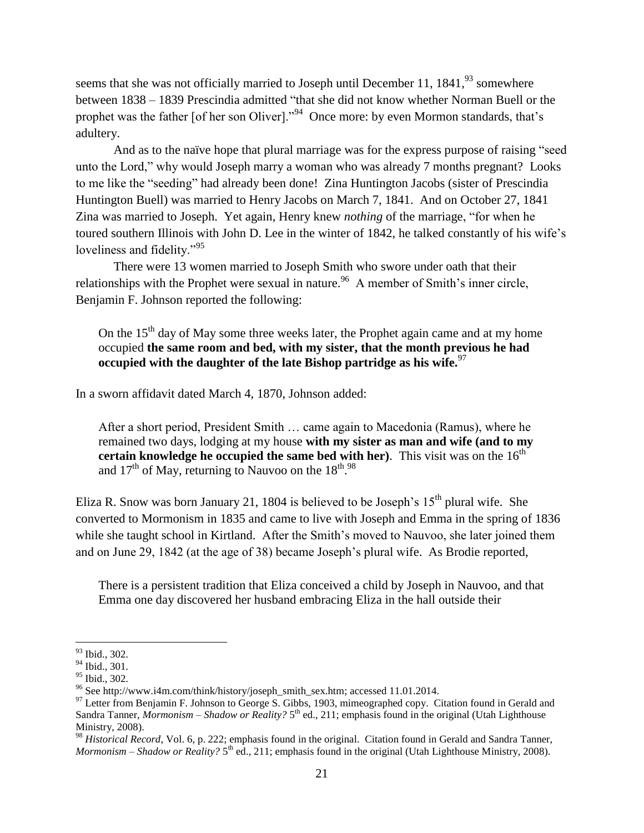seems that she was not officially married to Joseph until December 11, 1841, $^{93}$  somewhere between 1838 – 1839 Prescindia admitted "that she did not know whether Norman Buell or the prophet was the father [of her son Oliver]."<sup>94</sup> Once more: by even Mormon standards, that's adultery.

And as to the naïve hope that plural marriage was for the express purpose of raising "seed unto the Lord," why would Joseph marry a woman who was already 7 months pregnant? Looks to me like the "seeding" had already been done! Zina Huntington Jacobs (sister of Prescindia Huntington Buell) was married to Henry Jacobs on March 7, 1841. And on October 27, 1841 Zina was married to Joseph. Yet again, Henry knew *nothing* of the marriage, "for when he toured southern Illinois with John D. Lee in the winter of 1842, he talked constantly of his wife's loveliness and fidelity."<sup>95</sup>

There were 13 women married to Joseph Smith who swore under oath that their relationships with the Prophet were sexual in nature.<sup>96</sup> A member of Smith's inner circle, Benjamin F. Johnson reported the following:

On the  $15<sup>th</sup>$  day of May some three weeks later, the Prophet again came and at my home occupied **the same room and bed, with my sister, that the month previous he had occupied with the daughter of the late Bishop partridge as his wife.**<sup>97</sup>

In a sworn affidavit dated March 4, 1870, Johnson added:

After a short period, President Smith … came again to Macedonia (Ramus), where he remained two days, lodging at my house **with my sister as man and wife (and to my certain knowledge he occupied the same bed with her)**. This visit was on the  $16<sup>th</sup>$ and  $17<sup>th</sup>$  of May, returning to Nauvoo on the  $18<sup>th</sup>$ .<sup>98</sup>

Eliza R. Snow was born January 21, 1804 is believed to be Joseph's  $15<sup>th</sup>$  plural wife. She converted to Mormonism in 1835 and came to live with Joseph and Emma in the spring of 1836 while she taught school in Kirtland. After the Smith's moved to Nauvoo, she later joined them and on June 29, 1842 (at the age of 38) became Joseph's plural wife. As Brodie reported,

There is a persistent tradition that Eliza conceived a child by Joseph in Nauvoo, and that Emma one day discovered her husband embracing Eliza in the hall outside their

<sup>&</sup>lt;sup>93</sup> Ibid., 302.

<sup>&</sup>lt;sup>94</sup> Ibid., 301.

<sup>95</sup> Ibid., 302.

<sup>&</sup>lt;sup>96</sup> See http://www.i4m.com/think/history/joseph\_smith\_sex.htm; accessed 11.01.2014.

 $^{97}$  Letter from Benjamin F. Johnson to George S. Gibbs, 1903, mimeographed copy. Citation found in Gerald and Sandra Tanner, *Mormonism – Shadow or Reality?* 5<sup>th</sup> ed., 211; emphasis found in the original (Utah Lighthouse Ministry, 2008).

<sup>98</sup> *Historical Record*, Vol. 6, p. 222; emphasis found in the original. Citation found in Gerald and Sandra Tanner, *Mormonism – Shadow or Reality?* 5<sup>th</sup> ed., 211; emphasis found in the original (Utah Lighthouse Ministry, 2008).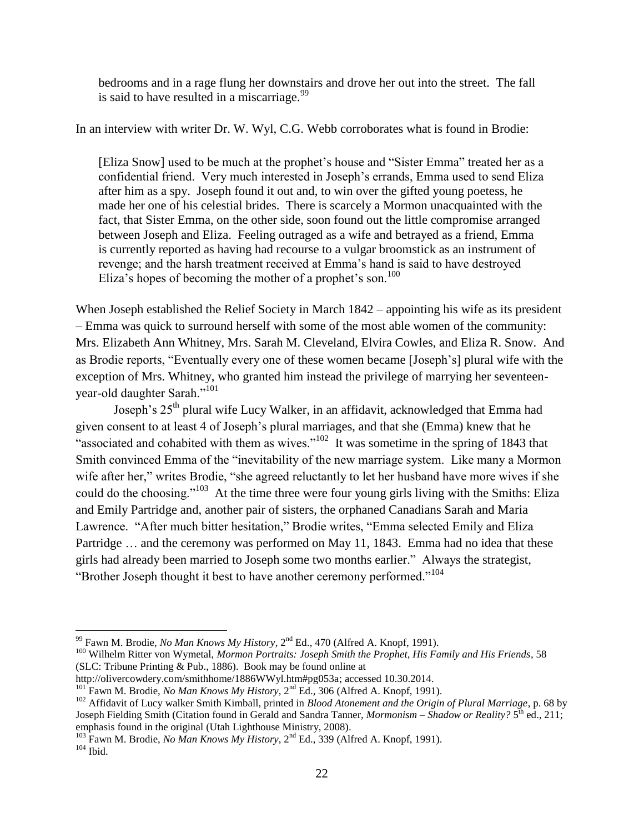bedrooms and in a rage flung her downstairs and drove her out into the street. The fall is said to have resulted in a miscarriage. $\frac{99}{9}$ 

In an interview with writer Dr. W. Wyl, C.G. Webb corroborates what is found in Brodie:

[Eliza Snow] used to be much at the prophet's house and "Sister Emma" treated her as a confidential friend. Very much interested in Joseph's errands, Emma used to send Eliza after him as a spy. Joseph found it out and, to win over the gifted young poetess, he made her one of his celestial brides. There is scarcely a Mormon unacquainted with the fact, that Sister Emma, on the other side, soon found out the little compromise arranged between Joseph and Eliza. Feeling outraged as a wife and betrayed as a friend, Emma is currently reported as having had recourse to a vulgar broomstick as an instrument of revenge; and the harsh treatment received at Emma's hand is said to have destroyed Eliza's hopes of becoming the mother of a prophet's son.<sup>100</sup>

When Joseph established the Relief Society in March  $1842$  – appointing his wife as its president – Emma was quick to surround herself with some of the most able women of the community: Mrs. Elizabeth Ann Whitney, Mrs. Sarah M. Cleveland, Elvira Cowles, and Eliza R. Snow. And as Brodie reports, "Eventually every one of these women became [Joseph's] plural wife with the exception of Mrs. Whitney, who granted him instead the privilege of marrying her seventeenyear-old daughter Sarah."<sup>101</sup>

Joseph's 25<sup>th</sup> plural wife Lucy Walker, in an affidavit, acknowledged that Emma had given consent to at least 4 of Joseph's plural marriages, and that she (Emma) knew that he "associated and cohabited with them as wives."<sup>102</sup> It was sometime in the spring of 1843 that Smith convinced Emma of the "inevitability of the new marriage system. Like many a Mormon wife after her," writes Brodie, "she agreed reluctantly to let her husband have more wives if she could do the choosing."<sup>103</sup> At the time three were four young girls living with the Smiths: Eliza and Emily Partridge and, another pair of sisters, the orphaned Canadians Sarah and Maria Lawrence. "After much bitter hesitation," Brodie writes, "Emma selected Emily and Eliza Partridge … and the ceremony was performed on May 11, 1843. Emma had no idea that these girls had already been married to Joseph some two months earlier." Always the strategist, "Brother Joseph thought it best to have another ceremony performed."<sup>104</sup>

 $\overline{a}$ <sup>99</sup> Fawn M. Brodie, *No Man Knows My History*, 2nd Ed., 470 (Alfred A. Knopf, 1991).

<sup>100</sup> Wilhelm Ritter von Wymetal, *Mormon Portraits: Joseph Smith the Prophet, His Family and His Friends*, 58 (SLC: Tribune Printing & Pub., 1886). Book may be found online at

http://olivercowdery.com/smithhome/1886WWyl.htm#pg053a; accessed 10.30.2014.

Fawn M. Brodie, *No Man Knows My History*, 2<sup>nd</sup> Ed., 306 (Alfred A. Knopf, 1991).

<sup>102</sup> Affidavit of Lucy walker Smith Kimball, printed in *Blood Atonement and the Origin of Plural Marriage*, p. 68 by Joseph Fielding Smith (Citation found in Gerald and Sandra Tanner, *Mormonism – Shadow or Reality?* 5<sup>th</sup> ed., 211; emphasis found in the original (Utah Lighthouse Ministry, 2008).

 $103$  Fawn M. Brodie, *No Man Knows My History*,  $2<sup>nd</sup>$  Ed., 339 (Alfred A. Knopf, 1991).  $^{104}$  Ibid.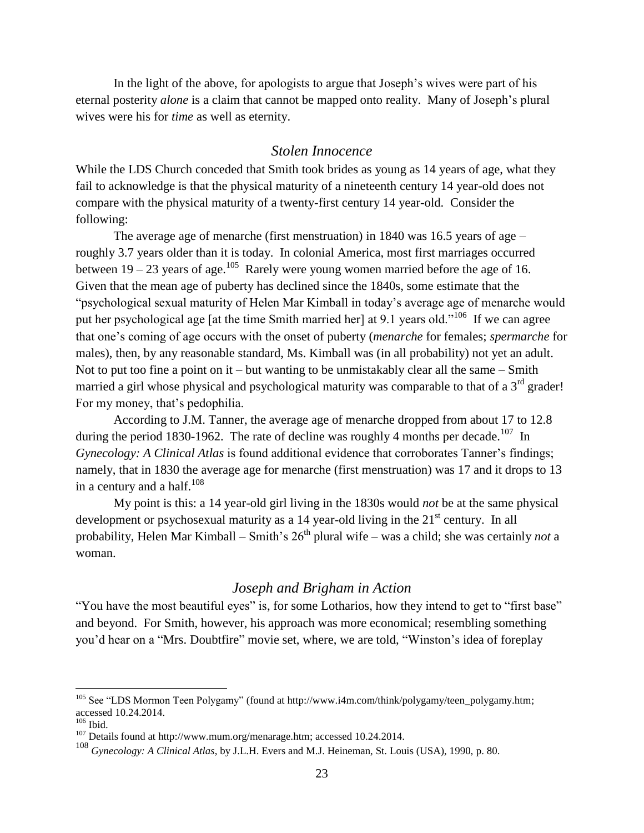In the light of the above, for apologists to argue that Joseph's wives were part of his eternal posterity *alone* is a claim that cannot be mapped onto reality. Many of Joseph's plural wives were his for *time* as well as eternity.

## *Stolen Innocence*

While the LDS Church conceded that Smith took brides as young as 14 years of age, what they fail to acknowledge is that the physical maturity of a nineteenth century 14 year-old does not compare with the physical maturity of a twenty-first century 14 year-old. Consider the following:

The average age of menarche (first menstruation) in 1840 was 16.5 years of age – roughly 3.7 years older than it is today. In colonial America, most first marriages occurred between  $19 - 23$  years of age.<sup>105</sup> Rarely were young women married before the age of 16. Given that the mean age of puberty has declined since the 1840s, some estimate that the "psychological sexual maturity of Helen Mar Kimball in today's average age of menarche would put her psychological age [at the time Smith married her] at 9.1 years old."<sup>106</sup> If we can agree that one's coming of age occurs with the onset of puberty (*menarche* for females; *spermarche* for males), then, by any reasonable standard, Ms. Kimball was (in all probability) not yet an adult. Not to put too fine a point on it – but wanting to be unmistakably clear all the same – Smith married a girl whose physical and psychological maturity was comparable to that of a  $3<sup>rd</sup>$  grader! For my money, that's pedophilia.

According to J.M. Tanner, the average age of menarche dropped from about 17 to 12.8 during the period 1830-1962. The rate of decline was roughly 4 months per decade.<sup>107</sup> In *Gynecology: A Clinical Atlas* is found additional evidence that corroborates Tanner's findings; namely, that in 1830 the average age for menarche (first menstruation) was 17 and it drops to 13 in a century and a half. $^{108}$ 

My point is this: a 14 year-old girl living in the 1830s would *not* be at the same physical development or psychosexual maturity as a 14 year-old living in the  $21<sup>st</sup>$  century. In all probability, Helen Mar Kimball – Smith's 26<sup>th</sup> plural wife – was a child; she was certainly *not* a woman.

# *Joseph and Brigham in Action*

"You have the most beautiful eyes" is, for some Lotharios, how they intend to get to "first base" and beyond. For Smith, however, his approach was more economical; resembling something you'd hear on a "Mrs. Doubtfire" movie set, where, we are told, "Winston's idea of foreplay

<sup>&</sup>lt;sup>105</sup> See "LDS Mormon Teen Polygamy" (found at http://www.i4m.com/think/polygamy/teen\_polygamy.htm; accessed 10.24.2014.

<sup>106</sup> Ibid.

 $107$  Details found at http://www.mum.org/menarage.htm; accessed 10.24.2014.

<sup>108</sup> *Gynecology: A Clinical Atlas*, by J.L.H. Evers and M.J. Heineman, St. Louis (USA), 1990, p. 80.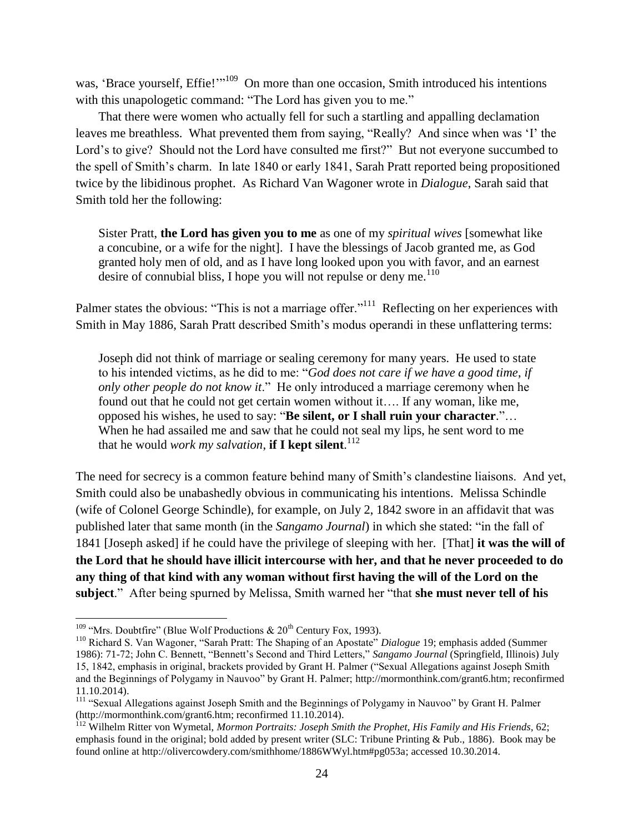was, 'Brace yourself, Effie!'<sup>'109</sup> On more than one occasion, Smith introduced his intentions with this unapologetic command: "The Lord has given you to me."

That there were women who actually fell for such a startling and appalling declamation leaves me breathless. What prevented them from saying, "Really? And since when was 'I' the Lord's to give? Should not the Lord have consulted me first?" But not everyone succumbed to the spell of Smith's charm. In late 1840 or early 1841, Sarah Pratt reported being propositioned twice by the libidinous prophet. As Richard Van Wagoner wrote in *Dialogue*, Sarah said that Smith told her the following:

Sister Pratt, **the Lord has given you to me** as one of my *spiritual wives* [somewhat like a concubine, or a wife for the night]. I have the blessings of Jacob granted me, as God granted holy men of old, and as I have long looked upon you with favor, and an earnest desire of connubial bliss, I hope you will not repulse or deny me. $110$ 

Palmer states the obvious: "This is not a marriage offer."<sup>111</sup> Reflecting on her experiences with Smith in May 1886, Sarah Pratt described Smith's modus operandi in these unflattering terms:

Joseph did not think of marriage or sealing ceremony for many years. He used to state to his intended victims, as he did to me: "*God does not care if we have a good time*, *if only other people do not know it*." He only introduced a marriage ceremony when he found out that he could not get certain women without it…. If any woman, like me, opposed his wishes, he used to say: "**Be silent, or I shall ruin your character**."… When he had assailed me and saw that he could not seal my lips, he sent word to me that he would *work my salvation*, **if I kept silent**. 112

The need for secrecy is a common feature behind many of Smith's clandestine liaisons. And yet, Smith could also be unabashedly obvious in communicating his intentions. Melissa Schindle (wife of Colonel George Schindle), for example, on July 2, 1842 swore in an affidavit that was published later that same month (in the *Sangamo Journal*) in which she stated: "in the fall of 1841 [Joseph asked] if he could have the privilege of sleeping with her. [That] **it was the will of the Lord that he should have illicit intercourse with her, and that he never proceeded to do any thing of that kind with any woman without first having the will of the Lord on the subject**." After being spurned by Melissa, Smith warned her "that **she must never tell of his** 

<sup>&</sup>lt;sup>109</sup> "Mrs. Doubtfire" (Blue Wolf Productions  $\& 20<sup>th</sup>$  Century Fox, 1993).

<sup>110</sup> Richard S. Van Wagoner, "Sarah Pratt: The Shaping of an Apostate" *Dialogue* 19; emphasis added (Summer 1986): 71-72; John C. Bennett, "Bennett's Second and Third Letters," *Sangamo Journal* (Springfield, Illinois) July 15, 1842, emphasis in original, brackets provided by Grant H. Palmer ("Sexual Allegations against Joseph Smith and the Beginnings of Polygamy in Nauvoo" by Grant H. Palmer; http://mormonthink.com/grant6.htm; reconfirmed 11.10.2014).

<sup>&</sup>lt;sup>111</sup> "Sexual Allegations against Joseph Smith and the Beginnings of Polygamy in Nauvoo" by Grant H. Palmer (http://mormonthink.com/grant6.htm; reconfirmed 11.10.2014).

<sup>112</sup> Wilhelm Ritter von Wymetal, *Mormon Portraits: Joseph Smith the Prophet, His Family and His Friends*, 62; emphasis found in the original; bold added by present writer (SLC: Tribune Printing & Pub., 1886). Book may be found online at http://olivercowdery.com/smithhome/1886WWyl.htm#pg053a; accessed 10.30.2014.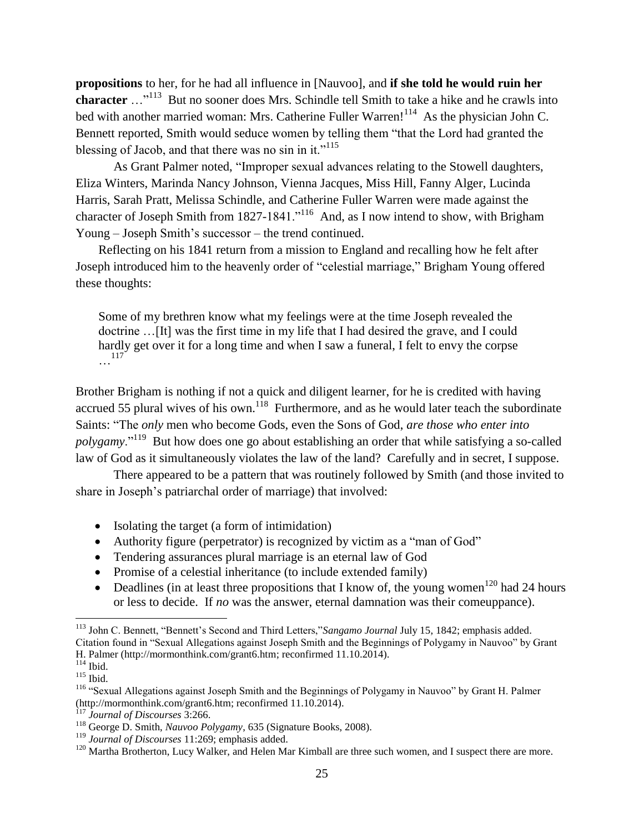**propositions** to her, for he had all influence in [Nauvoo], and **if she told he would ruin her character** …"<sup>113</sup> But no sooner does Mrs. Schindle tell Smith to take a hike and he crawls into bed with another married woman: Mrs. Catherine Fuller Warren!<sup>114</sup> As the physician John C. Bennett reported, Smith would seduce women by telling them "that the Lord had granted the blessing of Jacob, and that there was no sin in it." $115$ 

As Grant Palmer noted, "Improper sexual advances relating to the Stowell daughters, Eliza Winters, Marinda Nancy Johnson, Vienna Jacques, Miss Hill, Fanny Alger, Lucinda Harris, Sarah Pratt, Melissa Schindle, and Catherine Fuller Warren were made against the character of Joseph Smith from  $1827-1841$ ."<sup>116</sup> And, as I now intend to show, with Brigham Young – Joseph Smith's successor – the trend continued.

Reflecting on his 1841 return from a mission to England and recalling how he felt after Joseph introduced him to the heavenly order of "celestial marriage," Brigham Young offered these thoughts:

Some of my brethren know what my feelings were at the time Joseph revealed the doctrine …[It] was the first time in my life that I had desired the grave, and I could hardly get over it for a long time and when I saw a funeral, I felt to envy the corpse …<sup>117</sup>

Brother Brigham is nothing if not a quick and diligent learner, for he is credited with having accrued 55 plural wives of his own.<sup>118</sup> Furthermore, and as he would later teach the subordinate Saints: "The *only* men who become Gods, even the Sons of God, *are those who enter into polygamy*."<sup>119</sup> But how does one go about establishing an order that while satisfying a so-called law of God as it simultaneously violates the law of the land? Carefully and in secret, I suppose.

There appeared to be a pattern that was routinely followed by Smith (and those invited to share in Joseph's patriarchal order of marriage) that involved:

- Isolating the target (a form of intimidation)
- Authority figure (perpetrator) is recognized by victim as a "man of God"
- Tendering assurances plural marriage is an eternal law of God
- Promise of a celestial inheritance (to include extended family)
- Deadlines (in at least three propositions that I know of, the young women<sup>120</sup> had 24 hours or less to decide. If *no* was the answer, eternal damnation was their comeuppance).

<sup>&</sup>lt;sup>113</sup> John C. Bennett, "Bennett's Second and Third Letters," Sangamo Journal July 15, 1842; emphasis added. Citation found in "Sexual Allegations against Joseph Smith and the Beginnings of Polygamy in Nauvoo" by Grant H. Palmer (http://mormonthink.com/grant6.htm; reconfirmed 11.10.2014).

 $114$  Ibid.

 $115$  Ibid.

<sup>116</sup> "Sexual Allegations against Joseph Smith and the Beginnings of Polygamy in Nauvoo" by Grant H. Palmer (http://mormonthink.com/grant6.htm; reconfirmed 11.10.2014).

<sup>117</sup> *Journal of Discourses* 3:266.

<sup>118</sup> George D. Smith, *Nauvoo Polygamy*, 635 (Signature Books, 2008).

<sup>119</sup> *Journal of Discourses* 11:269; emphasis added.

<sup>&</sup>lt;sup>120</sup> Martha Brotherton, Lucy Walker, and Helen Mar Kimball are three such women, and I suspect there are more.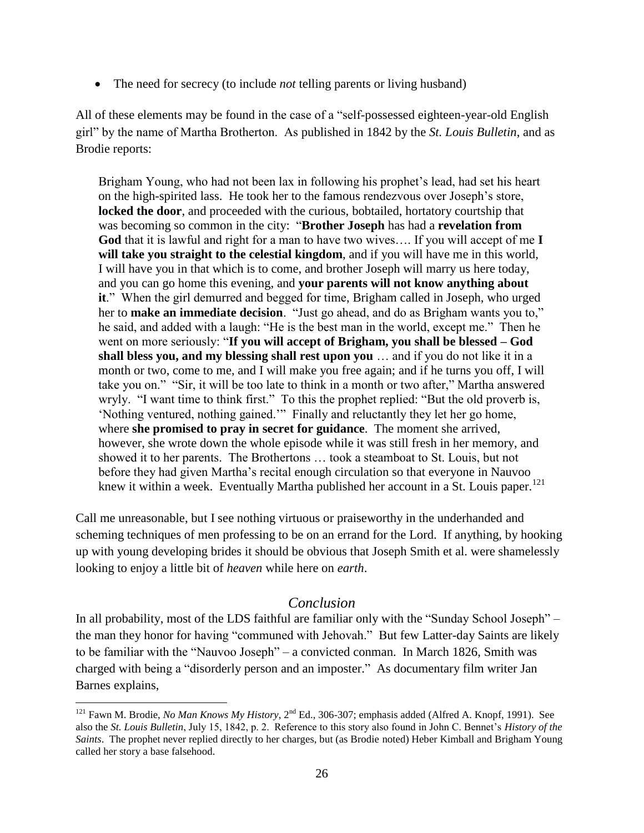The need for secrecy (to include *not* telling parents or living husband)

All of these elements may be found in the case of a "self-possessed eighteen-year-old English girl" by the name of Martha Brotherton. As published in 1842 by the *St. Louis Bulletin*, and as Brodie reports:

Brigham Young, who had not been lax in following his prophet's lead, had set his heart on the high-spirited lass. He took her to the famous rendezvous over Joseph's store, **locked the door**, and proceeded with the curious, bobtailed, hortatory courtship that was becoming so common in the city: "**Brother Joseph** has had a **revelation from God** that it is lawful and right for a man to have two wives…. If you will accept of me **I will take you straight to the celestial kingdom**, and if you will have me in this world, I will have you in that which is to come, and brother Joseph will marry us here today, and you can go home this evening, and **your parents will not know anything about it**." When the girl demurred and begged for time, Brigham called in Joseph, who urged her to **make an immediate decision**. "Just go ahead, and do as Brigham wants you to," he said, and added with a laugh: "He is the best man in the world, except me." Then he went on more seriously: "**If you will accept of Brigham, you shall be blessed – God shall bless you, and my blessing shall rest upon you** … and if you do not like it in a month or two, come to me, and I will make you free again; and if he turns you off, I will take you on." "Sir, it will be too late to think in a month or two after," Martha answered wryly. "I want time to think first." To this the prophet replied: "But the old proverb is, 'Nothing ventured, nothing gained.'" Finally and reluctantly they let her go home, where **she promised to pray in secret for guidance**. The moment she arrived, however, she wrote down the whole episode while it was still fresh in her memory, and showed it to her parents. The Brothertons … took a steamboat to St. Louis, but not before they had given Martha's recital enough circulation so that everyone in Nauvoo knew it within a week. Eventually Martha published her account in a St. Louis paper.<sup>121</sup>

Call me unreasonable, but I see nothing virtuous or praiseworthy in the underhanded and scheming techniques of men professing to be on an errand for the Lord. If anything, by hooking up with young developing brides it should be obvious that Joseph Smith et al. were shamelessly looking to enjoy a little bit of *heaven* while here on *earth*.

## *Conclusion*

In all probability, most of the LDS faithful are familiar only with the "Sunday School Joseph" – the man they honor for having "communed with Jehovah." But few Latter-day Saints are likely to be familiar with the "Nauvoo Joseph" – a convicted conman. In March 1826, Smith was charged with being a "disorderly person and an imposter." As documentary film writer Jan Barnes explains,

<sup>&</sup>lt;sup>121</sup> Fawn M. Brodie, *No Man Knows My History*, 2<sup>nd</sup> Ed., 306-307; emphasis added (Alfred A. Knopf, 1991). See also the *St. Louis Bulletin*, July 15, 1842, p. 2. Reference to this story also found in John C. Bennet's *History of the Saints*. The prophet never replied directly to her charges, but (as Brodie noted) Heber Kimball and Brigham Young called her story a base falsehood.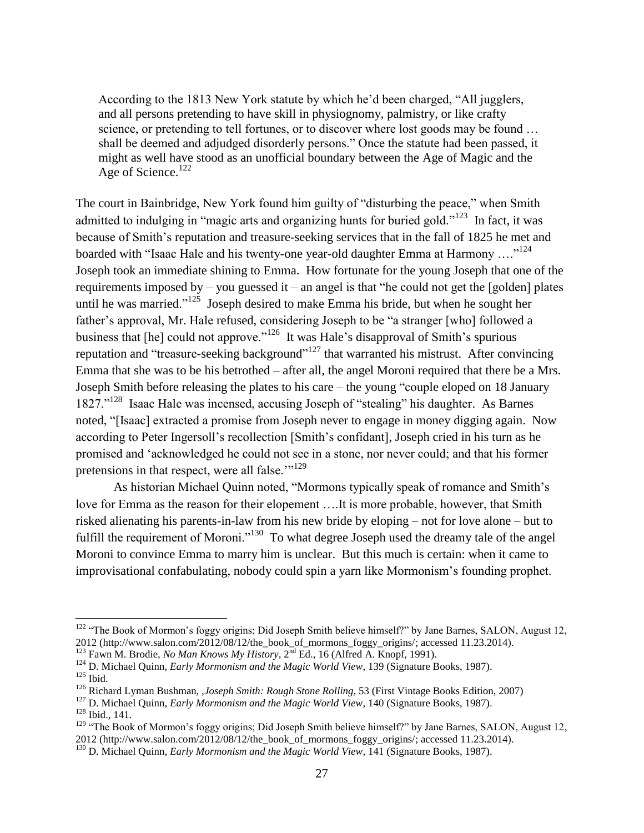According to the 1813 New York statute by which he'd been charged, "All jugglers, and all persons pretending to have skill in physiognomy, palmistry, or like crafty science, or pretending to tell fortunes, or to discover where lost goods may be found … shall be deemed and adjudged disorderly persons." Once the statute had been passed, it might as well have stood as an unofficial boundary between the Age of Magic and the Age of Science.<sup>122</sup>

The court in Bainbridge, New York found him guilty of "disturbing the peace," when Smith admitted to indulging in "magic arts and organizing hunts for buried gold."<sup>123</sup> In fact, it was because of Smith's reputation and treasure-seeking services that in the fall of 1825 he met and boarded with "Isaac Hale and his twenty-one year-old daughter Emma at Harmony ...."<sup>124</sup> Joseph took an immediate shining to Emma. How fortunate for the young Joseph that one of the requirements imposed by – you guessed it – an angel is that "he could not get the [golden] plates until he was married."<sup>125</sup> Joseph desired to make Emma his bride, but when he sought her father's approval, Mr. Hale refused, considering Joseph to be "a stranger [who] followed a business that [he] could not approve."<sup>126</sup> It was Hale's disapproval of Smith's spurious reputation and "treasure-seeking background"<sup>127</sup> that warranted his mistrust. After convincing Emma that she was to be his betrothed – after all, the angel Moroni required that there be a Mrs. Joseph Smith before releasing the plates to his care – the young "couple eloped on 18 January 1827."<sup>128</sup> Isaac Hale was incensed, accusing Joseph of "stealing" his daughter. As Barnes noted, "[Isaac] extracted a promise from Joseph never to engage in money digging again. Now according to Peter Ingersoll's recollection [Smith's confidant], Joseph cried in his turn as he promised and 'acknowledged he could not see in a stone, nor never could; and that his former pretensions in that respect, were all false."<sup>129</sup>

As historian Michael Quinn noted, "Mormons typically speak of romance and Smith's love for Emma as the reason for their elopement ….It is more probable, however, that Smith risked alienating his parents-in-law from his new bride by eloping – not for love alone – but to fulfill the requirement of Moroni."<sup>130</sup> To what degree Joseph used the dreamy tale of the angel Moroni to convince Emma to marry him is unclear. But this much is certain: when it came to improvisational confabulating, nobody could spin a yarn like Mormonism's founding prophet.

<sup>&</sup>lt;sup>122</sup> "The Book of Mormon's foggy origins; Did Joseph Smith believe himself?" by Jane Barnes, SALON, August 12, 2012 (http://www.salon.com/2012/08/12/the\_book\_of\_mormons\_foggy\_origins/; accessed 11.23.2014).

<sup>&</sup>lt;sup>123</sup> Fawn M. Brodie, *No Man Knows My History*, 2<sup>nd</sup> Ed., 16 (Alfred A. Knopf, 1991).

<sup>124</sup> D. Michael Quinn, *Early Mormonism and the Magic World View*, 139 (Signature Books, 1987).  $125$  Ibid.

<sup>126</sup> Richard Lyman Bushman, ,*Joseph Smith: Rough Stone Rolling*, 53 (First Vintage Books Edition, 2007)

<sup>127</sup> D. Michael Quinn, *Early Mormonism and the Magic World View*, 140 (Signature Books, 1987).

<sup>128</sup> Ibid., 141.

<sup>&</sup>lt;sup>129</sup> "The Book of Mormon's foggy origins; Did Joseph Smith believe himself?" by Jane Barnes, SALON, August 12, 2012 (http://www.salon.com/2012/08/12/the\_book\_of\_mormons\_foggy\_origins/; accessed 11.23.2014).

<sup>130</sup> D. Michael Quinn, *Early Mormonism and the Magic World View*, 141 (Signature Books, 1987).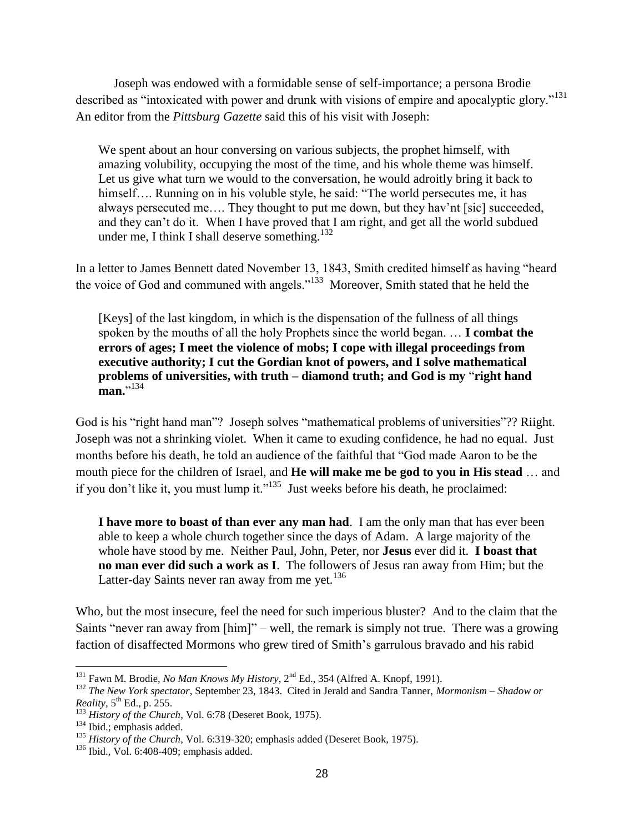Joseph was endowed with a formidable sense of self-importance; a persona Brodie described as "intoxicated with power and drunk with visions of empire and apocalyptic glory."<sup>131</sup> An editor from the *Pittsburg Gazette* said this of his visit with Joseph:

We spent about an hour conversing on various subjects, the prophet himself, with amazing volubility, occupying the most of the time, and his whole theme was himself. Let us give what turn we would to the conversation, he would adroitly bring it back to himself.... Running on in his voluble style, he said: "The world persecutes me, it has always persecuted me…. They thought to put me down, but they hav'nt [sic] succeeded, and they can't do it. When I have proved that I am right, and get all the world subdued under me, I think I shall deserve something.<sup>132</sup>

In a letter to James Bennett dated November 13, 1843, Smith credited himself as having "heard the voice of God and communed with angels."<sup>133</sup> Moreover, Smith stated that he held the

[Keys] of the last kingdom, in which is the dispensation of the fullness of all things spoken by the mouths of all the holy Prophets since the world began. … **I combat the errors of ages; I meet the violence of mobs; I cope with illegal proceedings from executive authority; I cut the Gordian knot of powers, and I solve mathematical problems of universities, with truth – diamond truth; and God is my** "**right hand man.'**<sup>134</sup>

God is his "right hand man"? Joseph solves "mathematical problems of universities"?? Riight. Joseph was not a shrinking violet. When it came to exuding confidence, he had no equal. Just months before his death, he told an audience of the faithful that "God made Aaron to be the mouth piece for the children of Israel, and **He will make me be god to you in His stead** … and if you don't like it, you must lump it."<sup>135</sup> Just weeks before his death, he proclaimed:

**I have more to boast of than ever any man had**. I am the only man that has ever been able to keep a whole church together since the days of Adam. A large majority of the whole have stood by me. Neither Paul, John, Peter, nor **Jesus** ever did it. **I boast that no man ever did such a work as I**. The followers of Jesus ran away from Him; but the Latter-day Saints never ran away from me yet. $136$ 

Who, but the most insecure, feel the need for such imperious bluster? And to the claim that the Saints "never ran away from [him]" – well, the remark is simply not true. There was a growing faction of disaffected Mormons who grew tired of Smith's garrulous bravado and his rabid

<sup>&</sup>lt;sup>131</sup> Fawn M. Brodie, *No Man Knows My History*,  $2^{nd}$  Ed., 354 (Alfred A. Knopf, 1991).

<sup>132</sup> *The New York spectator*, September 23, 1843. Cited in Jerald and Sandra Tanner, *Mormonism – Shadow or Reality*,  $5^{\text{th}}$  Ed., p. 255.

<sup>&</sup>lt;sup>133</sup> *History of the Church*, Vol. 6:78 (Deseret Book, 1975).

<sup>&</sup>lt;sup>134</sup> Ibid.; emphasis added.

<sup>135</sup> *History of the Church*, Vol. 6:319-320; emphasis added (Deseret Book, 1975).

 $136$  Ibid., Vol. 6:408-409; emphasis added.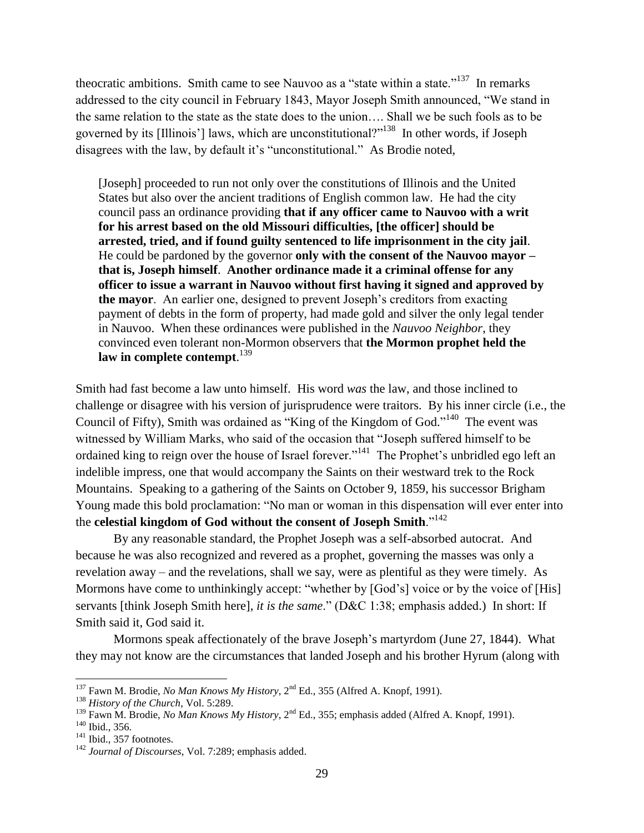theocratic ambitions. Smith came to see Nauvoo as a "state within a state."<sup>137</sup> In remarks addressed to the city council in February 1843, Mayor Joseph Smith announced, "We stand in the same relation to the state as the state does to the union…. Shall we be such fools as to be governed by its [Illinois'] laws, which are unconstitutional?"<sup>138</sup> In other words, if Joseph disagrees with the law, by default it's "unconstitutional." As Brodie noted,

[Joseph] proceeded to run not only over the constitutions of Illinois and the United States but also over the ancient traditions of English common law. He had the city council pass an ordinance providing **that if any officer came to Nauvoo with a writ for his arrest based on the old Missouri difficulties, [the officer] should be arrested, tried, and if found guilty sentenced to life imprisonment in the city jail**. He could be pardoned by the governor **only with the consent of the Nauvoo mayor – that is, Joseph himself**. **Another ordinance made it a criminal offense for any officer to issue a warrant in Nauvoo without first having it signed and approved by the mayor**. An earlier one, designed to prevent Joseph's creditors from exacting payment of debts in the form of property, had made gold and silver the only legal tender in Nauvoo. When these ordinances were published in the *Nauvoo Neighbor*, they convinced even tolerant non-Mormon observers that **the Mormon prophet held the law in complete contempt**. 139

Smith had fast become a law unto himself. His word *was* the law, and those inclined to challenge or disagree with his version of jurisprudence were traitors. By his inner circle (i.e., the Council of Fifty), Smith was ordained as "King of the Kingdom of God."<sup>140</sup> The event was witnessed by William Marks, who said of the occasion that "Joseph suffered himself to be ordained king to reign over the house of Israel forever."<sup>141</sup> The Prophet's unbridled ego left an indelible impress, one that would accompany the Saints on their westward trek to the Rock Mountains. Speaking to a gathering of the Saints on October 9, 1859, his successor Brigham Young made this bold proclamation: "No man or woman in this dispensation will ever enter into the **celestial kingdom of God without the consent of Joseph Smith**."<sup>142</sup>

By any reasonable standard, the Prophet Joseph was a self-absorbed autocrat. And because he was also recognized and revered as a prophet, governing the masses was only a revelation away – and the revelations, shall we say, were as plentiful as they were timely. As Mormons have come to unthinkingly accept: "whether by [God's] voice or by the voice of [His] servants [think Joseph Smith here], *it is the same*." (D&C 1:38; emphasis added.) In short: If Smith said it, God said it.

Mormons speak affectionately of the brave Joseph's martyrdom (June 27, 1844). What they may not know are the circumstances that landed Joseph and his brother Hyrum (along with

<sup>&</sup>lt;sup>137</sup> Fawn M. Brodie, *No Man Knows My History*, 2<sup>nd</sup> Ed., 355 (Alfred A. Knopf, 1991).

<sup>138</sup> *History of the Church*, Vol. 5:289.

<sup>139</sup> Fawn M. Brodie, *No Man Knows My History*, 2nd Ed., 355; emphasis added (Alfred A. Knopf, 1991).

<sup>140</sup> Ibid., 356.

 $141$  Ibid., 357 footnotes.

<sup>142</sup> *Journal of Discourses*, Vol. 7:289; emphasis added.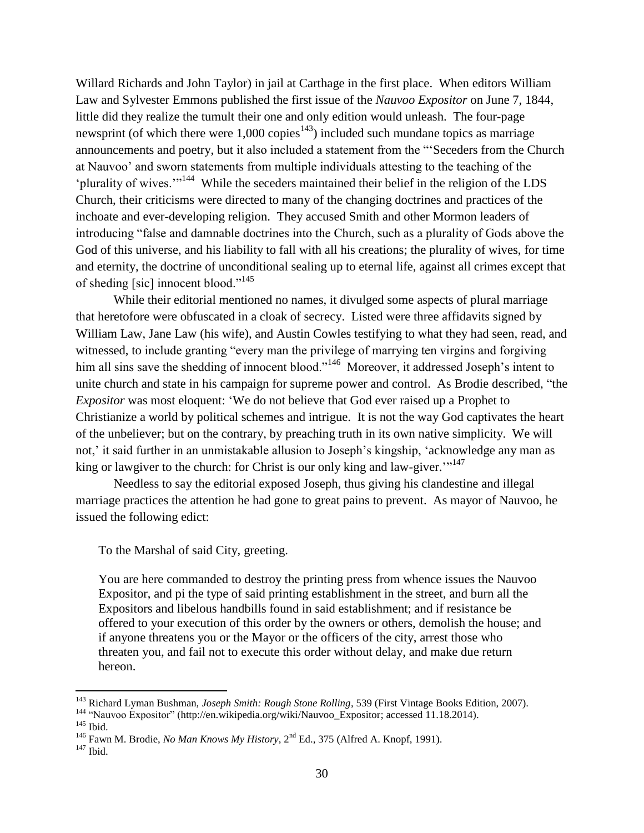Willard Richards and John Taylor) in jail at Carthage in the first place. When editors William Law and Sylvester Emmons published the first issue of the *Nauvoo Expositor* on June 7, 1844, little did they realize the tumult their one and only edition would unleash. The four-page newsprint (of which there were  $1,000$  copies<sup>143</sup>) included such mundane topics as marriage announcements and poetry, but it also included a statement from the "'Seceders from the Church at Nauvoo' and sworn statements from multiple individuals attesting to the teaching of the 'plurality of wives.'"<sup>144</sup> While the seceders maintained their belief in the religion of the LDS Church, their criticisms were directed to many of the changing doctrines and practices of the inchoate and ever-developing religion. They accused Smith and other Mormon leaders of introducing "false and damnable doctrines into the Church, such as a plurality of Gods above the God of this universe, and his liability to fall with all his creations; the plurality of wives, for time and eternity, the doctrine of unconditional sealing up to eternal life, against all crimes except that of sheding [sic] innocent blood."<sup>145</sup>

While their editorial mentioned no names, it divulged some aspects of plural marriage that heretofore were obfuscated in a cloak of secrecy. Listed were three affidavits signed by William Law, Jane Law (his wife), and Austin Cowles testifying to what they had seen, read, and witnessed, to include granting "every man the privilege of marrying ten virgins and forgiving him all sins save the shedding of innocent blood."<sup>146</sup> Moreover, it addressed Joseph's intent to unite church and state in his campaign for supreme power and control. As Brodie described, "the *Expositor* was most eloquent: 'We do not believe that God ever raised up a Prophet to Christianize a world by political schemes and intrigue. It is not the way God captivates the heart of the unbeliever; but on the contrary, by preaching truth in its own native simplicity. We will not,' it said further in an unmistakable allusion to Joseph's kingship, 'acknowledge any man as king or lawgiver to the church: for Christ is our only king and law-giver."<sup>147</sup>

Needless to say the editorial exposed Joseph, thus giving his clandestine and illegal marriage practices the attention he had gone to great pains to prevent. As mayor of Nauvoo, he issued the following edict:

To the Marshal of said City, greeting.

You are here commanded to destroy the printing press from whence issues the Nauvoo Expositor, and pi the type of said printing establishment in the street, and burn all the Expositors and libelous handbills found in said establishment; and if resistance be offered to your execution of this order by the owners or others, demolish the house; and if anyone threatens you or the Mayor or the officers of the city, arrest those who threaten you, and fail not to execute this order without delay, and make due return hereon.

<sup>143</sup> Richard Lyman Bushman, *Joseph Smith: Rough Stone Rolling*, 539 (First Vintage Books Edition, 2007).

<sup>&</sup>lt;sup>144</sup> "Nauvoo Expositor" (http://en.wikipedia.org/wiki/Nauvoo\_Expositor; accessed 11.18.2014).

 $145$  Ibid.

<sup>&</sup>lt;sup>146</sup> Fawn M. Brodie, *No Man Knows My History*, 2<sup>nd</sup> Ed., 375 (Alfred A. Knopf, 1991).

 $^{147}$  Ibid.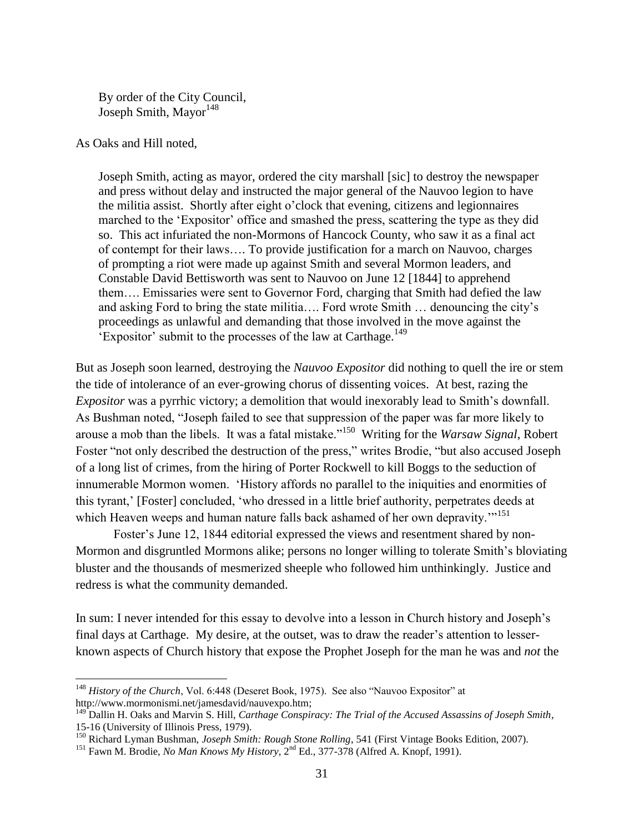By order of the City Council, Joseph Smith, Mayor<sup>148</sup>

As Oaks and Hill noted,

 $\overline{a}$ 

Joseph Smith, acting as mayor, ordered the city marshall [sic] to destroy the newspaper and press without delay and instructed the major general of the Nauvoo legion to have the militia assist. Shortly after eight o'clock that evening, citizens and legionnaires marched to the 'Expositor' office and smashed the press, scattering the type as they did so. This act infuriated the non-Mormons of Hancock County, who saw it as a final act of contempt for their laws…. To provide justification for a march on Nauvoo, charges of prompting a riot were made up against Smith and several Mormon leaders, and Constable David Bettisworth was sent to Nauvoo on June 12 [1844] to apprehend them…. Emissaries were sent to Governor Ford, charging that Smith had defied the law and asking Ford to bring the state militia…. Ford wrote Smith … denouncing the city's proceedings as unlawful and demanding that those involved in the move against the 'Expositor' submit to the processes of the law at Carthage.<sup>149</sup>

But as Joseph soon learned, destroying the *Nauvoo Expositor* did nothing to quell the ire or stem the tide of intolerance of an ever-growing chorus of dissenting voices. At best, razing the *Expositor* was a pyrrhic victory; a demolition that would inexorably lead to Smith's downfall. As Bushman noted, "Joseph failed to see that suppression of the paper was far more likely to arouse a mob than the libels. It was a fatal mistake."<sup>150</sup> Writing for the *Warsaw Signal*, Robert Foster "not only described the destruction of the press," writes Brodie, "but also accused Joseph of a long list of crimes, from the hiring of Porter Rockwell to kill Boggs to the seduction of innumerable Mormon women. 'History affords no parallel to the iniquities and enormities of this tyrant,' [Foster] concluded, 'who dressed in a little brief authority, perpetrates deeds at which Heaven weeps and human nature falls back ashamed of her own depravity."<sup>151</sup>

Foster's June 12, 1844 editorial expressed the views and resentment shared by non-Mormon and disgruntled Mormons alike; persons no longer willing to tolerate Smith's bloviating bluster and the thousands of mesmerized sheeple who followed him unthinkingly. Justice and redress is what the community demanded.

In sum: I never intended for this essay to devolve into a lesson in Church history and Joseph's final days at Carthage. My desire, at the outset, was to draw the reader's attention to lesserknown aspects of Church history that expose the Prophet Joseph for the man he was and *not* the

<sup>&</sup>lt;sup>148</sup> History of the Church, Vol. 6:448 (Deseret Book, 1975). See also "Nauvoo Expositor" at http://www.mormonismi.net/jamesdavid/nauvexpo.htm;

<sup>149</sup> Dallin H. Oaks and Marvin S. Hill, *Carthage Conspiracy: The Trial of the Accused Assassins of Joseph Smith*, 15-16 (University of Illinois Press, 1979).

<sup>150</sup> Richard Lyman Bushman, *Joseph Smith: Rough Stone Rolling*, 541 (First Vintage Books Edition, 2007).

<sup>&</sup>lt;sup>151</sup> Fawn M. Brodie, *No Man Knows My History*, 2<sup>nd</sup> Ed., 377-378 (Alfred A. Knopf, 1991).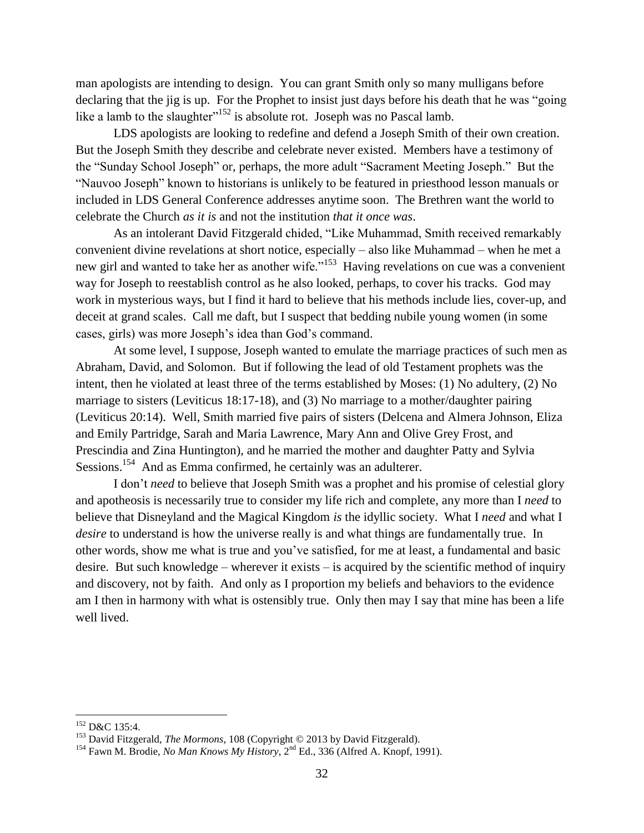man apologists are intending to design. You can grant Smith only so many mulligans before declaring that the jig is up. For the Prophet to insist just days before his death that he was "going like a lamb to the slaughter $152$  is absolute rot. Joseph was no Pascal lamb.

LDS apologists are looking to redefine and defend a Joseph Smith of their own creation. But the Joseph Smith they describe and celebrate never existed. Members have a testimony of the "Sunday School Joseph" or, perhaps, the more adult "Sacrament Meeting Joseph." But the "Nauvoo Joseph" known to historians is unlikely to be featured in priesthood lesson manuals or included in LDS General Conference addresses anytime soon. The Brethren want the world to celebrate the Church *as it is* and not the institution *that it once was*.

As an intolerant David Fitzgerald chided, "Like Muhammad, Smith received remarkably convenient divine revelations at short notice, especially – also like Muhammad – when he met a new girl and wanted to take her as another wife."<sup>153</sup> Having revelations on cue was a convenient way for Joseph to reestablish control as he also looked, perhaps, to cover his tracks. God may work in mysterious ways, but I find it hard to believe that his methods include lies, cover-up, and deceit at grand scales. Call me daft, but I suspect that bedding nubile young women (in some cases, girls) was more Joseph's idea than God's command.

At some level, I suppose, Joseph wanted to emulate the marriage practices of such men as Abraham, David, and Solomon. But if following the lead of old Testament prophets was the intent, then he violated at least three of the terms established by Moses: (1) No adultery, (2) No marriage to sisters (Leviticus 18:17-18), and (3) No marriage to a mother/daughter pairing (Leviticus 20:14). Well, Smith married five pairs of sisters (Delcena and Almera Johnson, Eliza and Emily Partridge, Sarah and Maria Lawrence, Mary Ann and Olive Grey Frost, and Prescindia and Zina Huntington), and he married the mother and daughter Patty and Sylvia Sessions.<sup>154</sup> And as Emma confirmed, he certainly was an adulterer.

I don't *need* to believe that Joseph Smith was a prophet and his promise of celestial glory and apotheosis is necessarily true to consider my life rich and complete, any more than I *need* to believe that Disneyland and the Magical Kingdom *is* the idyllic society. What I *need* and what I *desire* to understand is how the universe really is and what things are fundamentally true. In other words, show me what is true and you've satisfied, for me at least, a fundamental and basic desire. But such knowledge – wherever it exists – is acquired by the scientific method of inquiry and discovery, not by faith. And only as I proportion my beliefs and behaviors to the evidence am I then in harmony with what is ostensibly true. Only then may I say that mine has been a life well lived.

<sup>152</sup> D&C 135:4.

<sup>153</sup> David Fitzgerald, *The Mormons*, 108 (Copyright © 2013 by David Fitzgerald).

<sup>&</sup>lt;sup>154</sup> Fawn M. Brodie, *No Man Knows My History*, 2<sup>nd</sup> Ed., 336 (Alfred A. Knopf, 1991).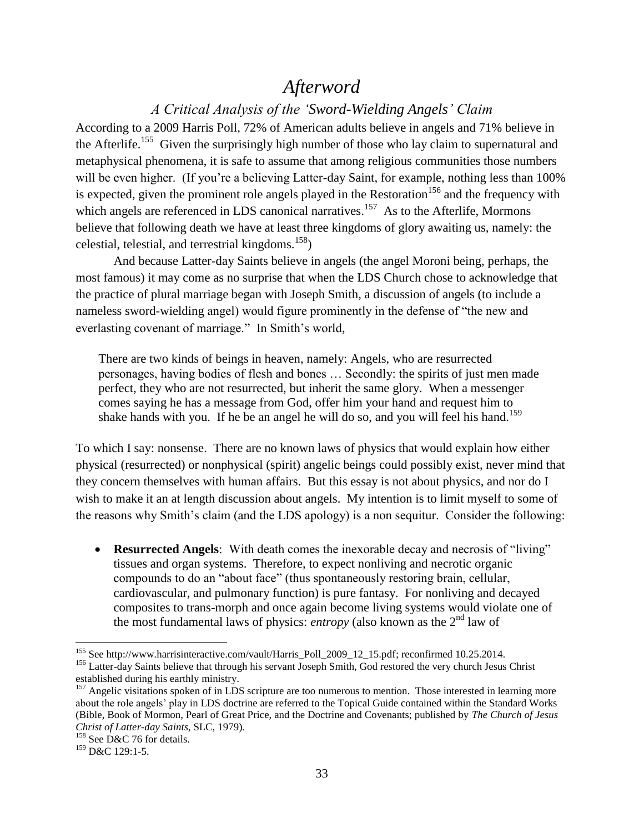# *Afterword*

# *A Critical Analysis of the 'Sword-Wielding Angels' Claim*

According to a 2009 Harris Poll, 72% of American adults believe in angels and 71% believe in the Afterlife.<sup>155</sup> Given the surprisingly high number of those who lay claim to supernatural and metaphysical phenomena, it is safe to assume that among religious communities those numbers will be even higher. (If you're a believing Latter-day Saint, for example, nothing less than 100% is expected, given the prominent role angels played in the Restoration<sup>156</sup> and the frequency with which angels are referenced in LDS canonical narratives.<sup>157</sup> As to the Afterlife, Mormons believe that following death we have at least three kingdoms of glory awaiting us, namely: the celestial, telestial, and terrestrial kingdoms.<sup>158</sup>)

And because Latter-day Saints believe in angels (the angel Moroni being, perhaps, the most famous) it may come as no surprise that when the LDS Church chose to acknowledge that the practice of plural marriage began with Joseph Smith, a discussion of angels (to include a nameless sword-wielding angel) would figure prominently in the defense of "the new and everlasting covenant of marriage." In Smith's world,

There are two kinds of beings in heaven, namely: Angels, who are resurrected personages, having bodies of flesh and bones … Secondly: the spirits of just men made perfect, they who are not resurrected, but inherit the same glory. When a messenger comes saying he has a message from God, offer him your hand and request him to shake hands with you. If he be an angel he will do so, and you will feel his hand.<sup>159</sup>

To which I say: nonsense. There are no known laws of physics that would explain how either physical (resurrected) or nonphysical (spirit) angelic beings could possibly exist, never mind that they concern themselves with human affairs. But this essay is not about physics, and nor do I wish to make it an at length discussion about angels. My intention is to limit myself to some of the reasons why Smith's claim (and the LDS apology) is a non sequitur. Consider the following:

 **Resurrected Angels**: With death comes the inexorable decay and necrosis of "living" tissues and organ systems. Therefore, to expect nonliving and necrotic organic compounds to do an "about face" (thus spontaneously restoring brain, cellular, cardiovascular, and pulmonary function) is pure fantasy. For nonliving and decayed composites to trans-morph and once again become living systems would violate one of the most fundamental laws of physics: *entropy* (also known as the  $2<sup>nd</sup>$  law of

 $\overline{a}$ <sup>155</sup> See http://www.harrisinteractive.com/vault/Harris\_Poll\_2009\_12\_15.pdf; reconfirmed 10.25.2014.

<sup>&</sup>lt;sup>156</sup> Latter-day Saints believe that through his servant Joseph Smith, God restored the very church Jesus Christ established during his earthly ministry.

<sup>&</sup>lt;sup>157</sup> Angelic visitations spoken of in LDS scripture are too numerous to mention. Those interested in learning more about the role angels' play in LDS doctrine are referred to the Topical Guide contained within the Standard Works (Bible, Book of Mormon, Pearl of Great Price, and the Doctrine and Covenants; published by *The Church of Jesus Christ of Latter-day Saints*, SLC, 1979).

<sup>&</sup>lt;sup>158</sup> See D&C 76 for details.

 $159$  D&C 129:1-5.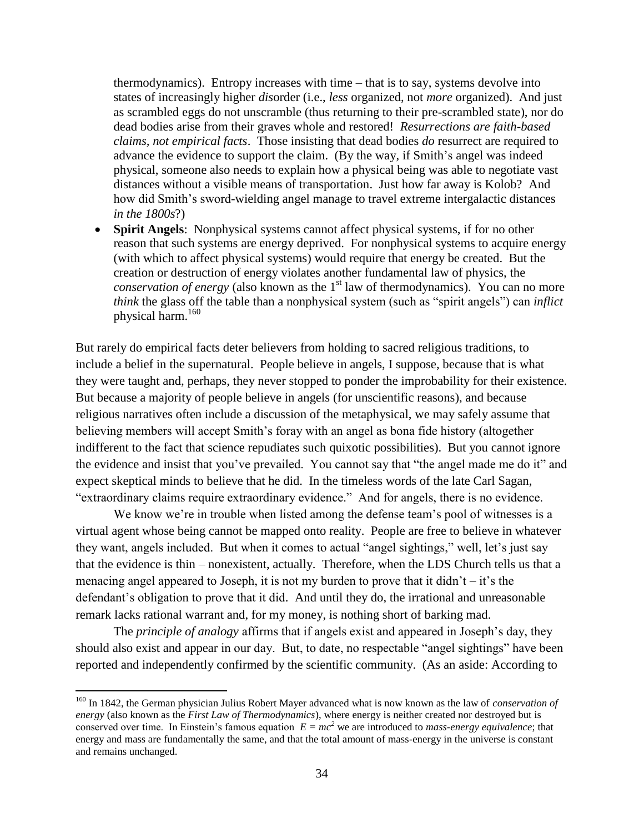thermodynamics). Entropy increases with time – that is to say, systems devolve into states of increasingly higher *dis*order (i.e., *less* organized, not *more* organized). And just as scrambled eggs do not unscramble (thus returning to their pre-scrambled state), nor do dead bodies arise from their graves whole and restored! *Resurrections are faith-based claims, not empirical facts*. Those insisting that dead bodies *do* resurrect are required to advance the evidence to support the claim. (By the way, if Smith's angel was indeed physical, someone also needs to explain how a physical being was able to negotiate vast distances without a visible means of transportation. Just how far away is Kolob? And how did Smith's sword-wielding angel manage to travel extreme intergalactic distances *in the 1800s*?)

 **Spirit Angels**: Nonphysical systems cannot affect physical systems, if for no other reason that such systems are energy deprived. For nonphysical systems to acquire energy (with which to affect physical systems) would require that energy be created. But the creation or destruction of energy violates another fundamental law of physics, the *conservation of energy* (also known as the  $1<sup>st</sup>$  law of thermodynamics). You can no more *think* the glass off the table than a nonphysical system (such as "spirit angels") can *inflict* physical harm.<sup>160</sup>

But rarely do empirical facts deter believers from holding to sacred religious traditions, to include a belief in the supernatural. People believe in angels, I suppose, because that is what they were taught and, perhaps, they never stopped to ponder the improbability for their existence. But because a majority of people believe in angels (for unscientific reasons), and because religious narratives often include a discussion of the metaphysical, we may safely assume that believing members will accept Smith's foray with an angel as bona fide history (altogether indifferent to the fact that science repudiates such quixotic possibilities). But you cannot ignore the evidence and insist that you've prevailed. You cannot say that "the angel made me do it" and expect skeptical minds to believe that he did. In the timeless words of the late Carl Sagan, "extraordinary claims require extraordinary evidence." And for angels, there is no evidence.

We know we're in trouble when listed among the defense team's pool of witnesses is a virtual agent whose being cannot be mapped onto reality. People are free to believe in whatever they want, angels included. But when it comes to actual "angel sightings," well, let's just say that the evidence is thin – nonexistent, actually. Therefore, when the LDS Church tells us that a menacing angel appeared to Joseph, it is not my burden to prove that it didn't  $-$  it's the defendant's obligation to prove that it did. And until they do, the irrational and unreasonable remark lacks rational warrant and, for my money, is nothing short of barking mad.

The *principle of analogy* affirms that if angels exist and appeared in Joseph's day, they should also exist and appear in our day. But, to date, no respectable "angel sightings" have been reported and independently confirmed by the scientific community. (As an aside: According to

<sup>160</sup> In 1842, the German physician Julius Robert Mayer advanced what is now known as the law of *conservation of energy* (also known as the *First Law of Thermodynamics*), where energy is neither created nor destroyed but is conserved over time. In Einstein's famous equation  $E = mc^2$  we are introduced to *mass-energy equivalence*; that energy and mass are fundamentally the same, and that the total amount of mass-energy in the universe is constant and remains unchanged.